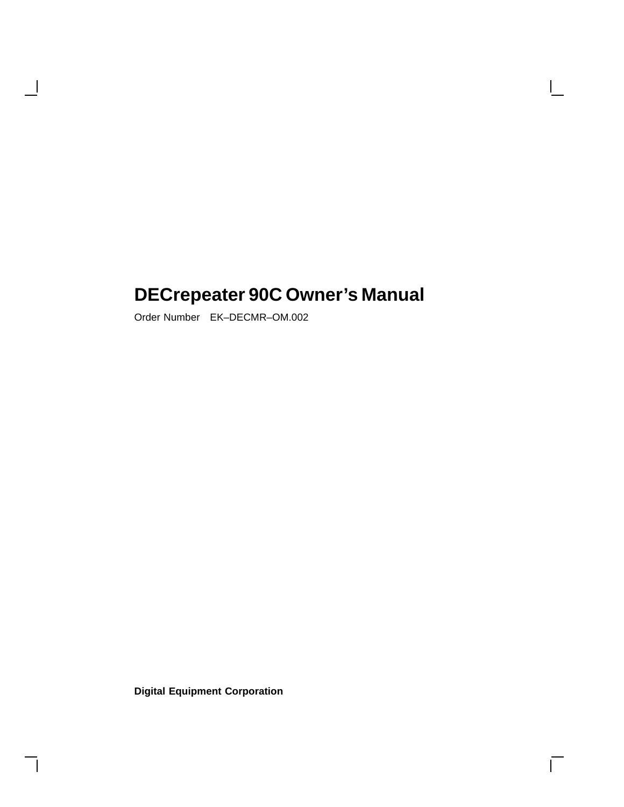# **DECrepeater 90C Owner's Manual**

Order Number EK–DECMR–OM.002

 $\overline{\phantom{a}}$ 

**Digital Equipment Corporation**

 $\overline{\Gamma}$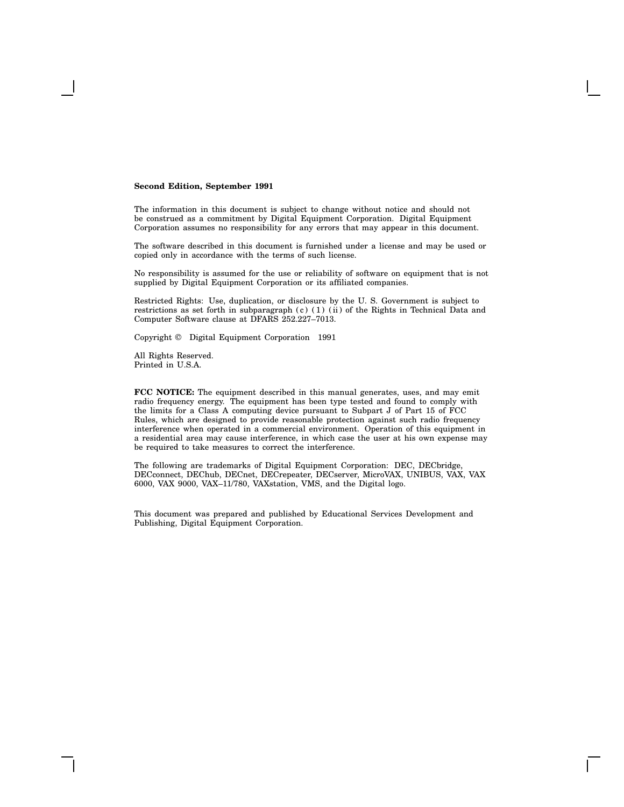#### **Second Edition, September 1991**

The information in this document is subject to change without notice and should not be construed as a commitment by Digital Equipment Corporation. Digital Equipment Corporation assumes no responsibility for any errors that may appear in this document.

The software described in this document is furnished under a license and may be used or copied only in accordance with the terms of such license.

No responsibility is assumed for the use or reliability of software on equipment that is not supplied by Digital Equipment Corporation or its affiliated companies.

Restricted Rights: Use, duplication, or disclosure by the U. S. Government is subject to restrictions as set forth in subparagraph (c) (1) (ii) of the Rights in Technical Data and Computer Software clause at DFARS 252.227–7013.

Copyright © Digital Equipment Corporation 1991

All Rights Reserved. Printed in U.S.A.

**FCC NOTICE:** The equipment described in this manual generates, uses, and may emit radio frequency energy. The equipment has been type tested and found to comply with the limits for a Class A computing device pursuant to Subpart J of Part 15 of FCC Rules, which are designed to provide reasonable protection against such radio frequency interference when operated in a commercial environment. Operation of this equipment in a residential area may cause interference, in which case the user at his own expense may be required to take measures to correct the interference.

The following are trademarks of Digital Equipment Corporation: DEC, DECbridge, DECconnect, DEChub, DECnet, DECrepeater, DECserver, MicroVAX, UNIBUS, VAX, VAX 6000, VAX 9000, VAX–11/780, VAXstation, VMS, and the Digital logo.

This document was prepared and published by Educational Services Development and Publishing, Digital Equipment Corporation.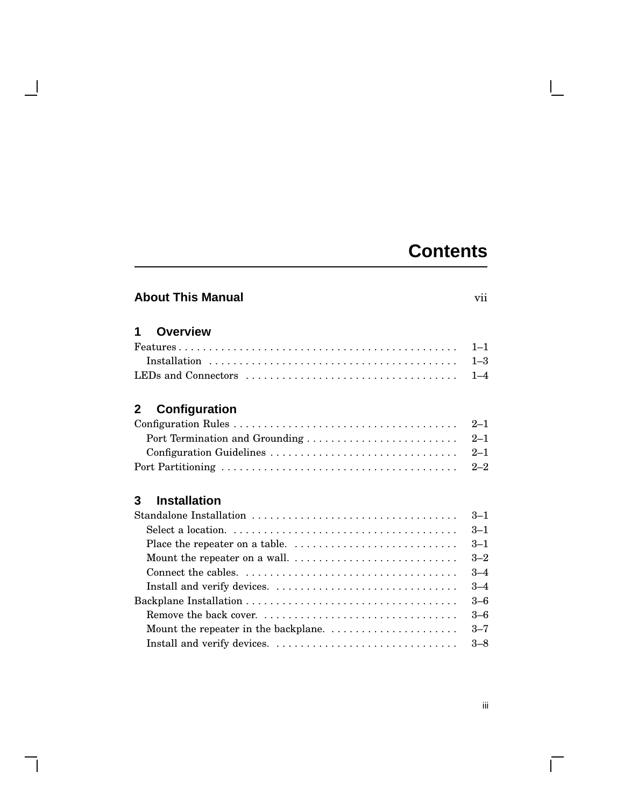## **Contents**

# **About This Manual** vii **1 Overview** Features . . . . . . . . . . . . . . . . . . . . . . . . . . . . . . . . . . . . . . . . . . . . . . 1–1 Installation . . . . . . . . . . . . . . . . . . . . . . . . . . . . . . . . . . . . . . . . . 1–3 LEDs and Connectors . . . . . . . . . . . . . . . . . . . . . . . . . . . . . . . . . . . 1–4 **2 Configuration** Configuration Rules . . . . . . . . . . . . . . . . . . . . . . . . . . . . . . . . . . . . . 2–1 Port Termination and Grounding . . . . . . . . . . . . . . . . . . . . . . . . . 2–1 Configuration Guidelines . . . . . . . . . . . . . . . . . . . . . . . . . . . . . . . 2–1 Port Partitioning . . . . . . . . . . . . . . . . . . . . . . . . . . . . . . . . . . . . . . . 2–2

| 3<br><b>Installation</b>                                                             |         |
|--------------------------------------------------------------------------------------|---------|
|                                                                                      | $3 - 1$ |
|                                                                                      | $3 - 1$ |
|                                                                                      | $3 - 1$ |
|                                                                                      | $3 - 2$ |
|                                                                                      | $3 - 4$ |
|                                                                                      | $3 - 4$ |
|                                                                                      | $3 - 6$ |
| Remove the back cover                                                                | $3 - 6$ |
| Mount the repeater in the backplane. $\ldots \ldots \ldots \ldots \ldots \ldots$ 3-7 |         |

Install and verify devices. . . . . . . . . . . . . . . . . . . . . . . . . . . . . . . 3–8

 $\mathbf{I}$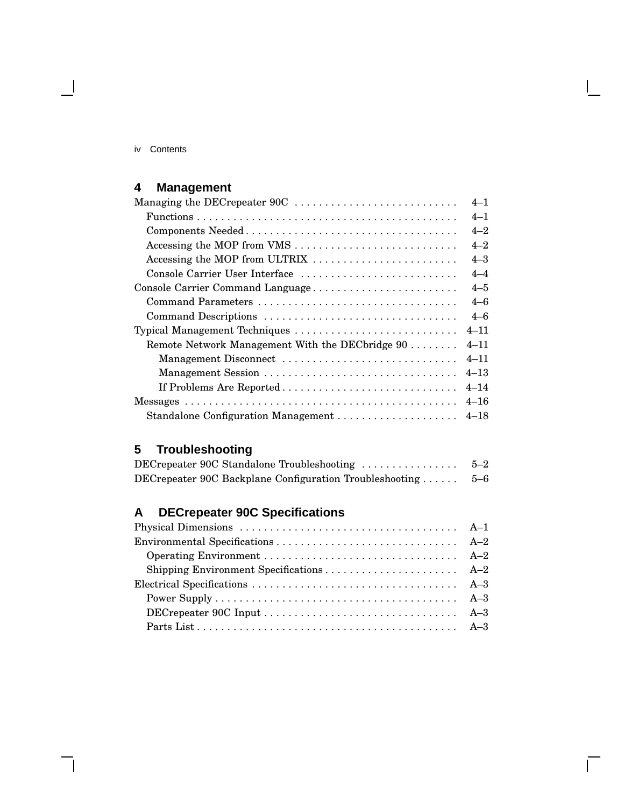#### iv Contents

 $\blacksquare$ 

## **4 Management**

| Managing the DEC repeater 90C                   | $4 - 1$  |
|-------------------------------------------------|----------|
|                                                 | $4 - 1$  |
|                                                 | $4 - 2$  |
|                                                 | $4 - 2$  |
| Accessing the MOP from ULTRIX                   | $4 - 3$  |
| Console Carrier User Interface                  | $4 - 4$  |
| Console Carrier Command Language                | $4 - 5$  |
|                                                 | $4 - 6$  |
| Command Descriptions                            | $4 - 6$  |
| Typical Management Techniques                   | $4 - 11$ |
| Remote Network Management With the DECbridge 90 | $4 - 11$ |
| Management Disconnect                           | $4 - 11$ |
| Management Session                              | $4 - 13$ |
| If Problems Are Reported                        | $4 - 14$ |
|                                                 | $4 - 16$ |
| Standalone Configuration Management  4-18       |          |

## **5 Troubleshooting**

| DECrepeater 90C Standalone Troubleshooting              | $5 - 2$ |
|---------------------------------------------------------|---------|
| DECrepeater 90C Backplane Configuration Troubleshooting | $5 - 6$ |

## **A DECrepeater 90C Specifications**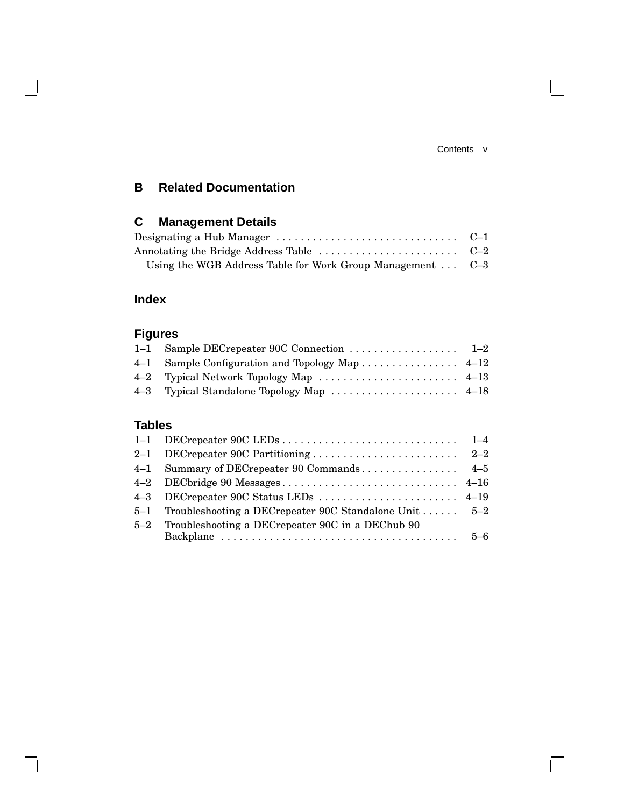#### Contents v

 $\mathbf{L}$ 

 $\Gamma$ 

## **B Related Documentation**

## **C Management Details**

| Designating a Hub Manager $\dots\dots\dots\dots\dots\dots\dots\dots\dots\dots\quad C\!-\!1$ |  |
|---------------------------------------------------------------------------------------------|--|
|                                                                                             |  |
| Using the WGB Address Table for Work Group Management  C-3                                  |  |

## **Index**

 $\overline{\phantom{a}}$ 

## **Figures**

| 4–1 Sample Configuration and Topology Map 4–12 |  |
|------------------------------------------------|--|
|                                                |  |
|                                                |  |

## **Tables**

|         | 5-1 Troubleshooting a DECrepeater 90C Standalone Unit  5-2 |  |
|---------|------------------------------------------------------------|--|
| $5 - 2$ | Troubleshooting a DECrepeater 90C in a DEChub 90           |  |
|         |                                                            |  |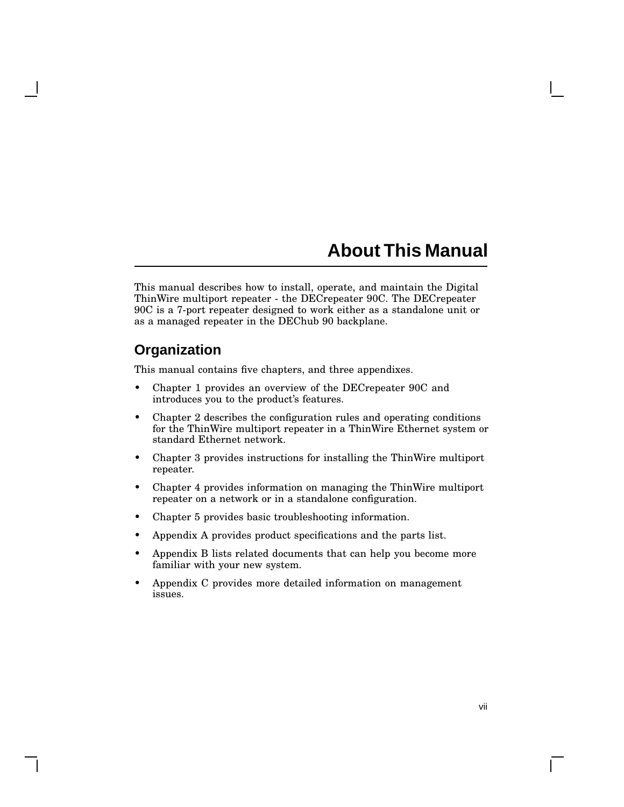## **About This Manual**

This manual describes how to install, operate, and maintain the Digital ThinWire multiport repeater - the DECrepeater 90C. The DECrepeater 90C is a 7-port repeater designed to work either as a standalone unit or as a managed repeater in the DEChub 90 backplane.

## **Organization**

This manual contains five chapters, and three appendixes.

- Chapter 1 provides an overview of the DECrepeater 90C and introduces you to the product's features.
- Chapter 2 describes the configuration rules and operating conditions for the ThinWire multiport repeater in a ThinWire Ethernet system or standard Ethernet network.
- Chapter 3 provides instructions for installing the ThinWire multiport repeater.
- Chapter 4 provides information on managing the ThinWire multiport repeater on a network or in a standalone configuration.
- Chapter 5 provides basic troubleshooting information.
- Appendix A provides product specifications and the parts list.
- Appendix B lists related documents that can help you become more familiar with your new system.
- Appendix C provides more detailed information on management issues.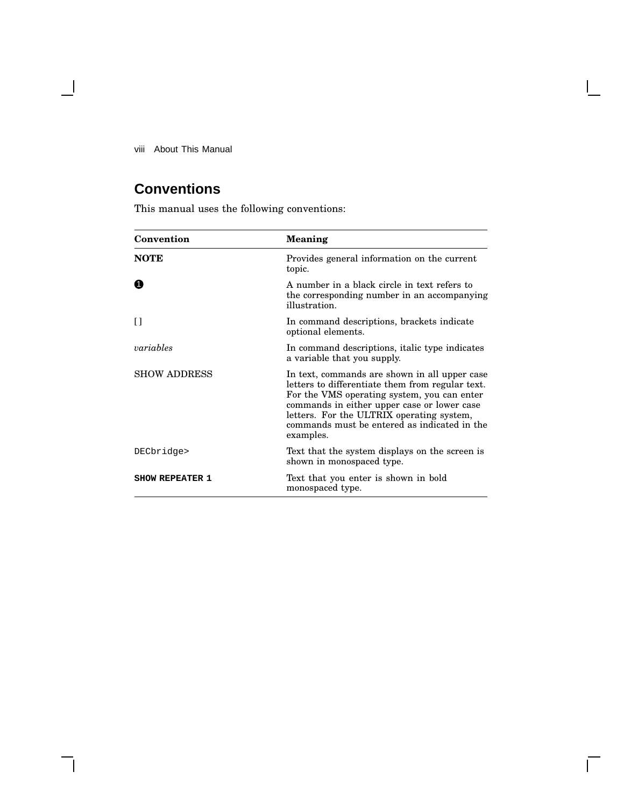viii About This Manual

 $\overline{\phantom{0}}$ 

## **Conventions**

This manual uses the following conventions:

| Convention             | <b>Meaning</b>                                                                                                                                                                                                                                                                                            |
|------------------------|-----------------------------------------------------------------------------------------------------------------------------------------------------------------------------------------------------------------------------------------------------------------------------------------------------------|
| <b>NOTE</b>            | Provides general information on the current<br>topic.                                                                                                                                                                                                                                                     |
| 0                      | A number in a black circle in text refers to<br>the corresponding number in an accompanying<br>illustration.                                                                                                                                                                                              |
| IJ                     | In command descriptions, brackets indicate<br>optional elements.                                                                                                                                                                                                                                          |
| variables              | In command descriptions, italic type indicates<br>a variable that you supply.                                                                                                                                                                                                                             |
| <b>SHOW ADDRESS</b>    | In text, commands are shown in all upper case<br>letters to differentiate them from regular text.<br>For the VMS operating system, you can enter<br>commands in either upper case or lower case<br>letters. For the ULTRIX operating system,<br>commands must be entered as indicated in the<br>examples. |
| DECbridge>             | Text that the system displays on the screen is<br>shown in monospaced type.                                                                                                                                                                                                                               |
| <b>SHOW REPEATER 1</b> | Text that you enter is shown in bold<br>monospaced type.                                                                                                                                                                                                                                                  |

 $\bar{\Gamma}$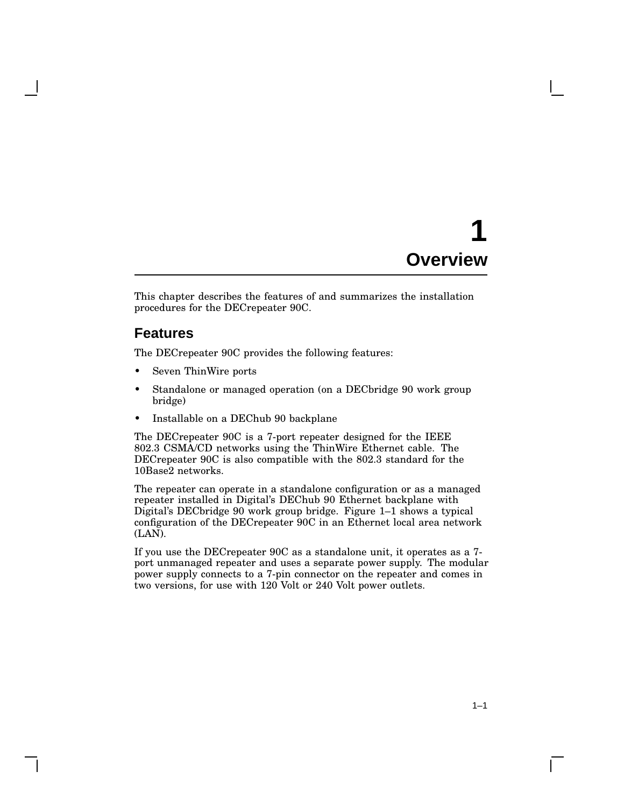# **1 Overview**

This chapter describes the features of and summarizes the installation procedures for the DECrepeater 90C.

## **Features**

The DECrepeater 90C provides the following features:

- Seven ThinWire ports
- Standalone or managed operation (on a DEC bridge 90 work group bridge)
- Installable on a DEChub 90 backplane

The DECrepeater 90C is a 7-port repeater designed for the IEEE 802.3 CSMA/CD networks using the ThinWire Ethernet cable. The DECrepeater 90C is also compatible with the 802.3 standard for the 10Base2 networks.

The repeater can operate in a standalone configuration or as a managed repeater installed in Digital's DEChub 90 Ethernet backplane with Digital's DECbridge 90 work group bridge. Figure 1–1 shows a typical configuration of the DECrepeater 90C in an Ethernet local area network (LAN).

If you use the DECrepeater 90C as a standalone unit, it operates as a 7 port unmanaged repeater and uses a separate power supply. The modular power supply connects to a 7-pin connector on the repeater and comes in two versions, for use with 120 Volt or 240 Volt power outlets.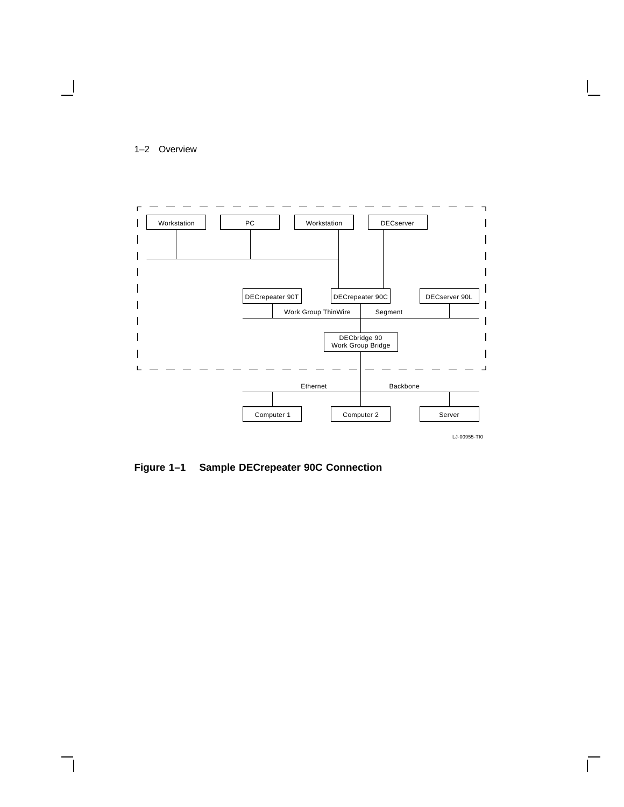



**Figure 1–1 Sample DECrepeater 90C Connection**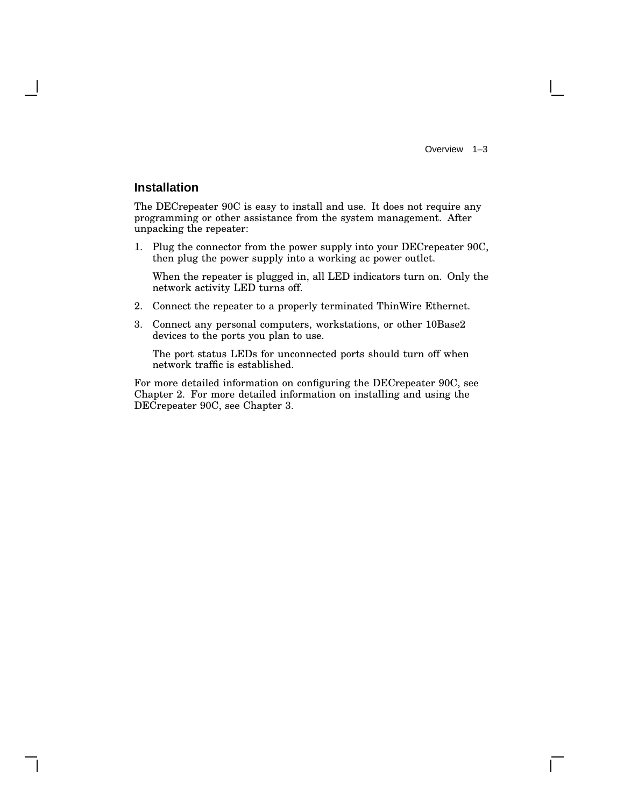Overview 1–3

### **Installation**

The DECrepeater 90C is easy to install and use. It does not require any programming or other assistance from the system management. After unpacking the repeater:

1. Plug the connector from the power supply into your DECrepeater 90C, then plug the power supply into a working ac power outlet.

When the repeater is plugged in, all LED indicators turn on. Only the network activity LED turns off.

- 2. Connect the repeater to a properly terminated ThinWire Ethernet.
- 3. Connect any personal computers, workstations, or other 10Base2 devices to the ports you plan to use.

The port status LEDs for unconnected ports should turn off when network traffic is established.

For more detailed information on configuring the DECrepeater 90C, see Chapter 2. For more detailed information on installing and using the DECrepeater 90C, see Chapter 3.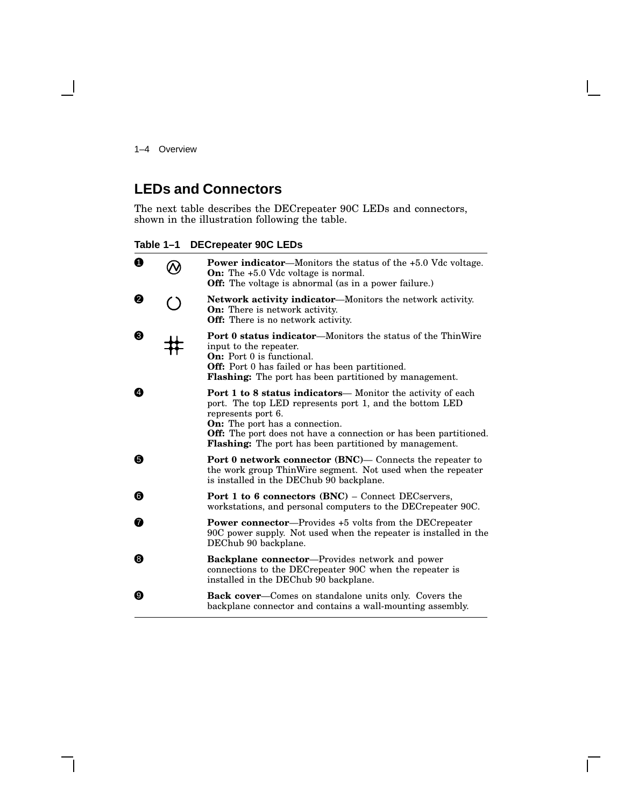1–4 Overview

 $\blacksquare$ 

## **LEDs and Connectors**

The next table describes the DECrepeater 90C LEDs and connectors, shown in the illustration following the table.

**Table 1–1 DECrepeater 90C LEDs**

| $\mathbf 0$ |            | <b>Power indicator—Monitors the status of the +5.0 Vdc voltage.</b><br><b>On:</b> The $+5.0$ Vdc voltage is normal.<br><b>Off:</b> The voltage is abnormal (as in a power failure.)                                                                                                                                                       |  |
|-------------|------------|-------------------------------------------------------------------------------------------------------------------------------------------------------------------------------------------------------------------------------------------------------------------------------------------------------------------------------------------|--|
| Ø           | $\bigcirc$ | <b>Network activity indicator—Monitors the network activity.</b><br><b>On:</b> There is network activity.<br><b>Off:</b> There is no network activity.                                                                                                                                                                                    |  |
| ❸           |            | <b>Port 0 status indicator—Monitors the status of the ThinWire</b><br>input to the repeater.<br><b>On:</b> Port 0 is functional.<br>Off: Port 0 has failed or has been partitioned.<br><b>Flashing:</b> The port has been partitioned by management.                                                                                      |  |
| ❹           |            | <b>Port 1 to 8 status indicators—</b> Monitor the activity of each<br>port. The top LED represents port 1, and the bottom LED<br>represents port 6.<br><b>On:</b> The port has a connection.<br><b>Off:</b> The port does not have a connection or has been partitioned.<br><b>Flashing:</b> The port has been partitioned by management. |  |
| ❺           |            | <b>Port 0 network connector (BNC)— Connects the repeater to</b><br>the work group ThinWire segment. Not used when the repeater<br>is installed in the DEChub 90 backplane.                                                                                                                                                                |  |
| ❺           |            | <b>Port 1 to 6 connectors (BNC)</b> – Connect DECservers,<br>workstations, and personal computers to the DEC repeater 90C.                                                                                                                                                                                                                |  |
| 0           |            | <b>Power connector—Provides +5 volts from the DECrepeater</b><br>90C power supply. Not used when the repeater is installed in the<br>DEChub 90 backplane.                                                                                                                                                                                 |  |
| ❸           |            | <b>Backplane connector</b> —Provides network and power<br>connections to the DEC repeater 90C when the repeater is<br>installed in the DEChub 90 backplane.                                                                                                                                                                               |  |
| ❹           |            | <b>Back cover—Comes on standalone units only.</b> Covers the<br>backplane connector and contains a wall-mounting assembly.                                                                                                                                                                                                                |  |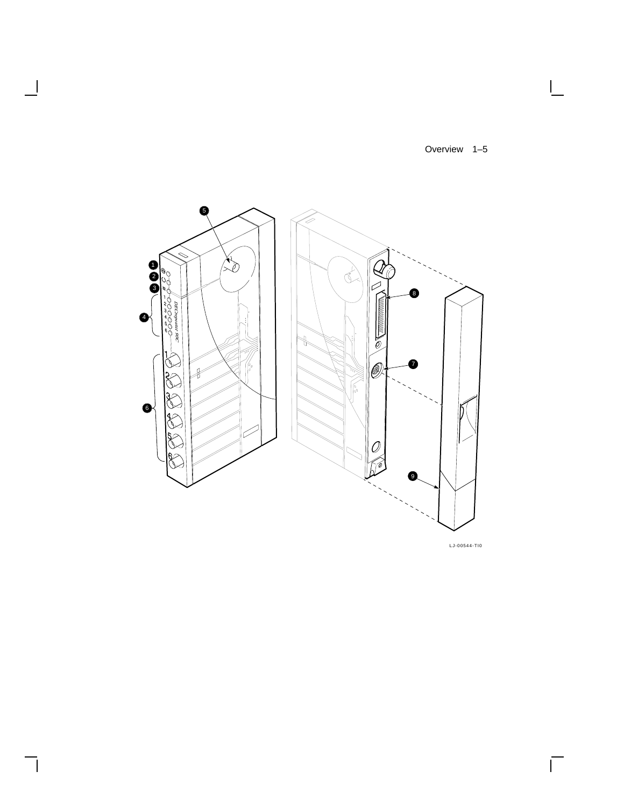Overview 1–5

 $\Box$ 



 $\overline{\phantom{a}}$ 

 $\overline{\phantom{a}}$ 

LJ-00544-TI0

 $\overline{\Gamma}$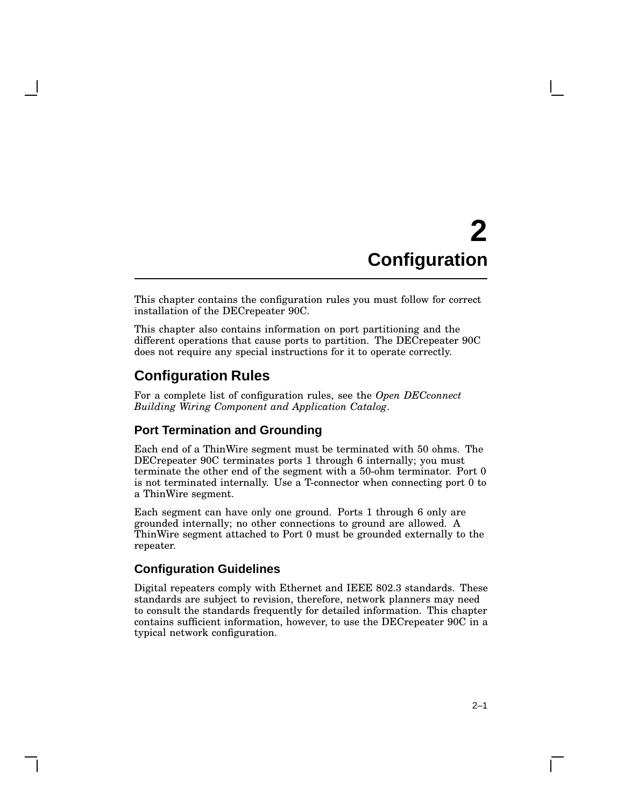# **2 Configuration**

This chapter contains the configuration rules you must follow for correct installation of the DECrepeater 90C.

This chapter also contains information on port partitioning and the different operations that cause ports to partition. The DECrepeater 90C does not require any special instructions for it to operate correctly.

## **Configuration Rules**

For a complete list of configuration rules, see the *Open DECconnect Building Wiring Component and Application Catalog*.

#### **Port Termination and Grounding**

Each end of a ThinWire segment must be terminated with 50 ohms. The DECrepeater 90C terminates ports 1 through 6 internally; you must terminate the other end of the segment with a 50-ohm terminator. Port 0 is not terminated internally. Use a T-connector when connecting port 0 to a ThinWire segment.

Each segment can have only one ground. Ports 1 through 6 only are grounded internally; no other connections to ground are allowed. A ThinWire segment attached to Port 0 must be grounded externally to the repeater.

#### **Configuration Guidelines**

Digital repeaters comply with Ethernet and IEEE 802.3 standards. These standards are subject to revision, therefore, network planners may need to consult the standards frequently for detailed information. This chapter contains sufficient information, however, to use the DECrepeater 90C in a typical network configuration.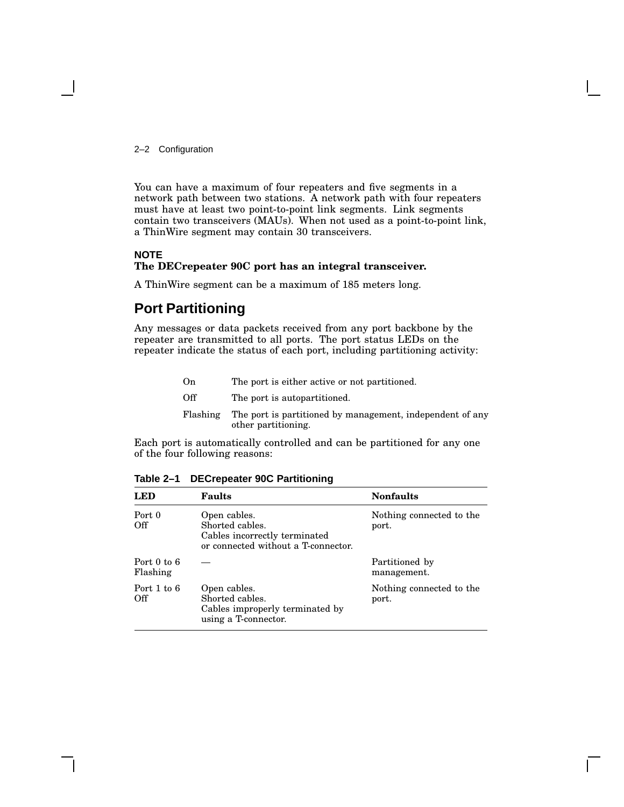2–2 Configuration

You can have a maximum of four repeaters and five segments in a network path between two stations. A network path with four repeaters must have at least two point-to-point link segments. Link segments contain two transceivers (MAUs). When not used as a point-to-point link, a ThinWire segment may contain 30 transceivers.

#### **NOTE The DECrepeater 90C port has an integral transceiver.**

A ThinWire segment can be a maximum of 185 meters long.

## **Port Partitioning**

Any messages or data packets received from any port backbone by the repeater are transmitted to all ports. The port status LEDs on the repeater indicate the status of each port, including partitioning activity:

| On       | The port is either active or not partitioned.                                    |
|----------|----------------------------------------------------------------------------------|
| Off      | The port is autopartitioned.                                                     |
| Flashing | The port is partitioned by management, independent of any<br>other partitioning. |

Each port is automatically controlled and can be partitioned for any one of the four following reasons:

| LED                         | <b>Faults</b>                                                                                           | <b>Nonfaults</b>                  |
|-----------------------------|---------------------------------------------------------------------------------------------------------|-----------------------------------|
| Port 0<br>Off               | Open cables.<br>Shorted cables.<br>Cables incorrectly terminated<br>or connected without a T-connector. | Nothing connected to the<br>port. |
| Port $0$ to $6$<br>Flashing |                                                                                                         | Partitioned by<br>management.     |
| Port $1$ to $6$<br>Off      | Open cables.<br>Shorted cables.<br>Cables improperly terminated by<br>using a T-connector.              | Nothing connected to the<br>port. |

**Table 2–1 DECrepeater 90C Partitioning**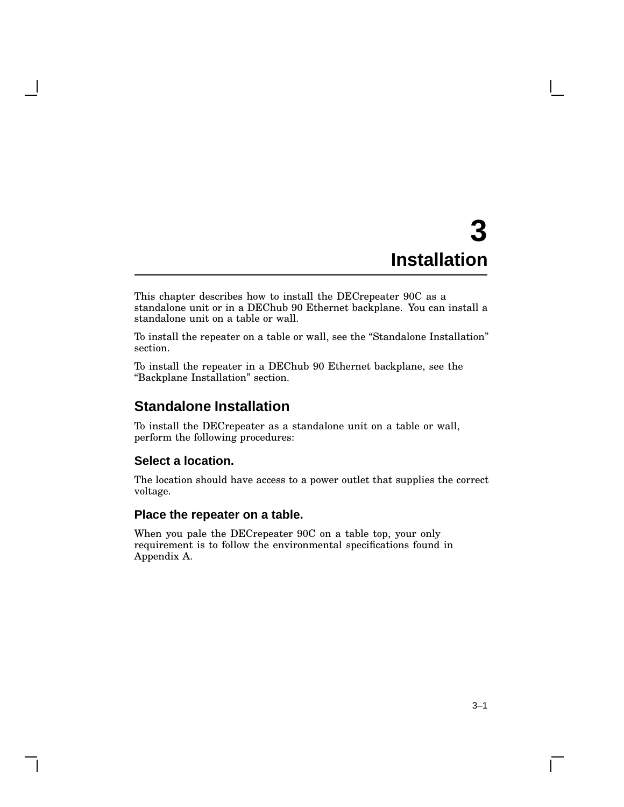# **3 Installation**

This chapter describes how to install the DECrepeater 90C as a standalone unit or in a DEChub 90 Ethernet backplane. You can install a standalone unit on a table or wall.

To install the repeater on a table or wall, see the ''Standalone Installation'' section.

To install the repeater in a DEChub 90 Ethernet backplane, see the ''Backplane Installation'' section.

## **Standalone Installation**

To install the DECrepeater as a standalone unit on a table or wall, perform the following procedures:

### **Select a location.**

The location should have access to a power outlet that supplies the correct voltage.

#### **Place the repeater on a table.**

When you pale the DECrepeater 90C on a table top, your only requirement is to follow the environmental specifications found in Appendix A.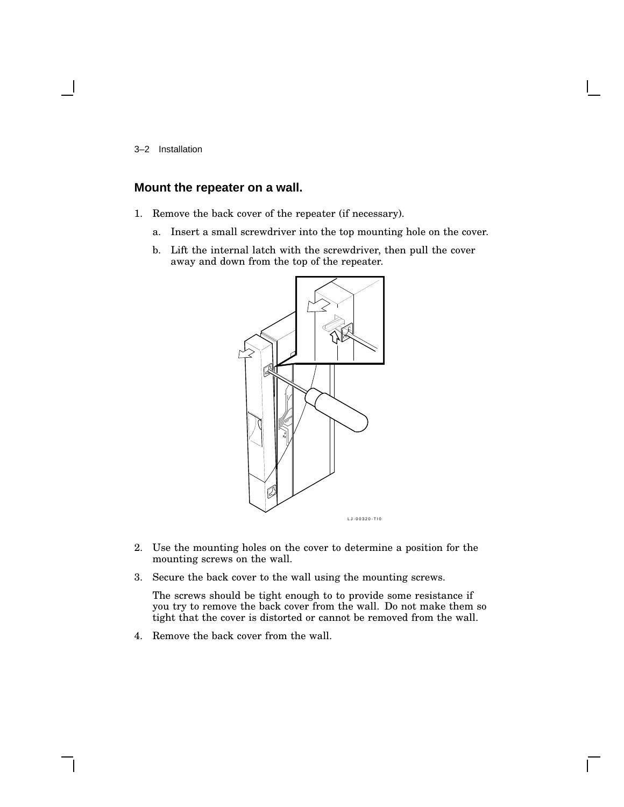3–2 Installation

### **Mount the repeater on a wall.**

- 1. Remove the back cover of the repeater (if necessary).
	- a. Insert a small screwdriver into the top mounting hole on the cover.
	- b. Lift the internal latch with the screwdriver, then pull the cover away and down from the top of the repeater.



- 2. Use the mounting holes on the cover to determine a position for the mounting screws on the wall.
- 3. Secure the back cover to the wall using the mounting screws.

The screws should be tight enough to to provide some resistance if you try to remove the back cover from the wall. Do not make them so tight that the cover is distorted or cannot be removed from the wall.

4. Remove the back cover from the wall.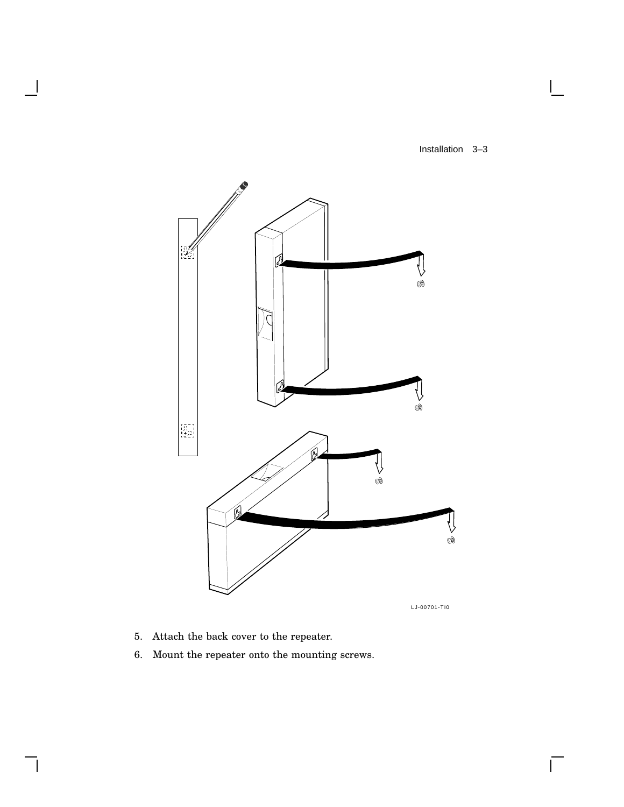Installation 3–3

 $\mathsf{I}$ 

 $\overline{\Gamma}$ 



LJ-00701-TI0

5. Attach the back cover to the repeater.

 $\overline{\phantom{a}}$ 

 $\mathsf{l}$ 

6. Mount the repeater onto the mounting screws.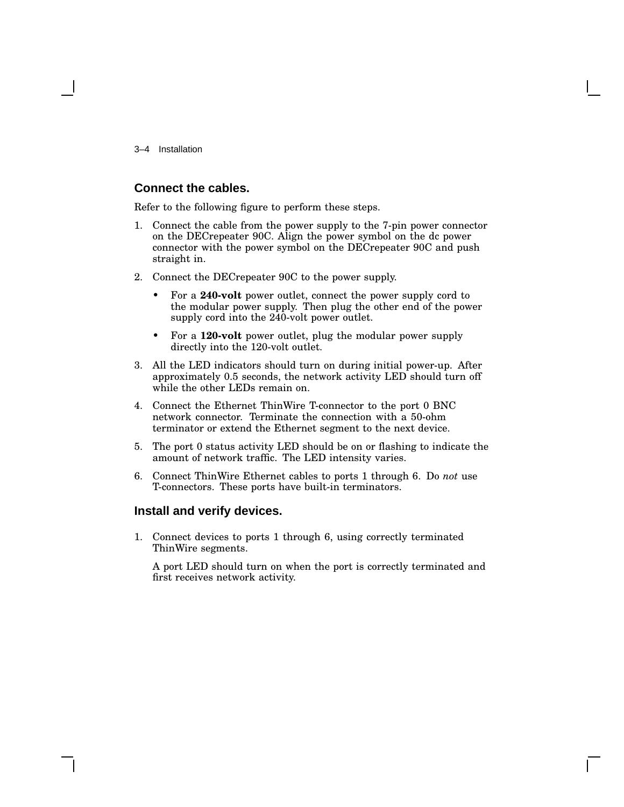3–4 Installation

#### **Connect the cables.**

Refer to the following figure to perform these steps.

- 1. Connect the cable from the power supply to the 7-pin power connector on the DECrepeater 90C. Align the power symbol on the dc power connector with the power symbol on the DECrepeater 90C and push straight in.
- 2. Connect the DECrepeater 90C to the power supply.
	- For a **240-volt** power outlet, connect the power supply cord to the modular power supply. Then plug the other end of the power supply cord into the 240-volt power outlet.
	- For a **120-volt** power outlet, plug the modular power supply directly into the 120-volt outlet.
- 3. All the LED indicators should turn on during initial power-up. After approximately 0.5 seconds, the network activity LED should turn off while the other LEDs remain on.
- 4. Connect the Ethernet ThinWire T-connector to the port 0 BNC network connector. Terminate the connection with a 50-ohm terminator or extend the Ethernet segment to the next device.
- 5. The port 0 status activity LED should be on or flashing to indicate the amount of network traffic. The LED intensity varies.
- 6. Connect ThinWire Ethernet cables to ports 1 through 6. Do *not* use T-connectors. These ports have built-in terminators.

#### **Install and verify devices.**

1. Connect devices to ports 1 through 6, using correctly terminated ThinWire segments.

A port LED should turn on when the port is correctly terminated and first receives network activity.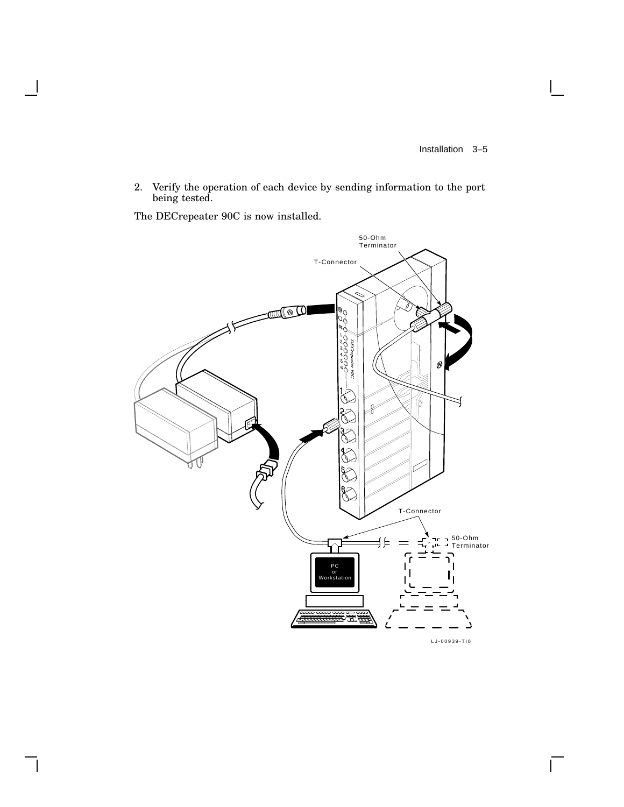$\sqrt{ }$ 

2. Verify the operation of each device by sending information to the port being tested.

The DECrepeater 90C is now installed.

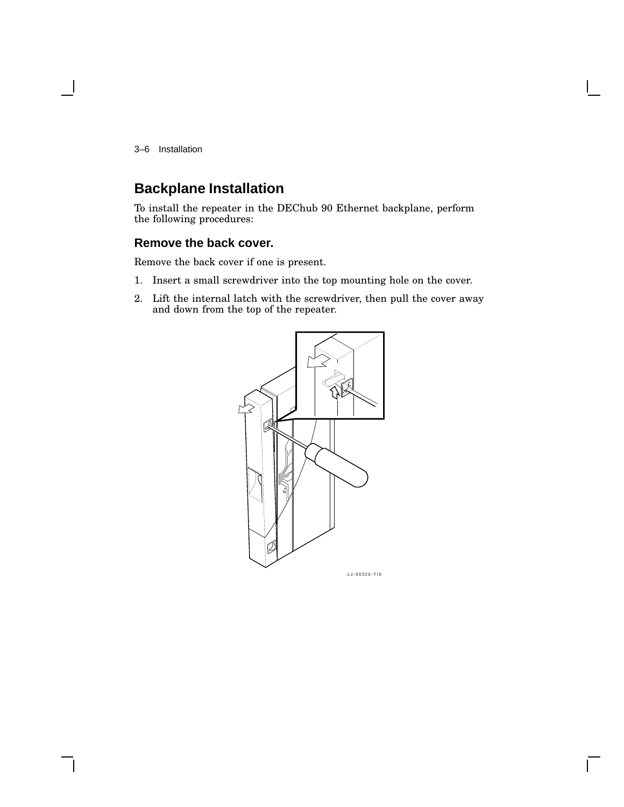3–6 Installation

## **Backplane Installation**

To install the repeater in the DEChub 90 Ethernet backplane, perform the following procedures:

### **Remove the back cover.**

Remove the back cover if one is present.

- 1. Insert a small screwdriver into the top mounting hole on the cover.
- 2. Lift the internal latch with the screwdriver, then pull the cover away and down from the top of the repeater.

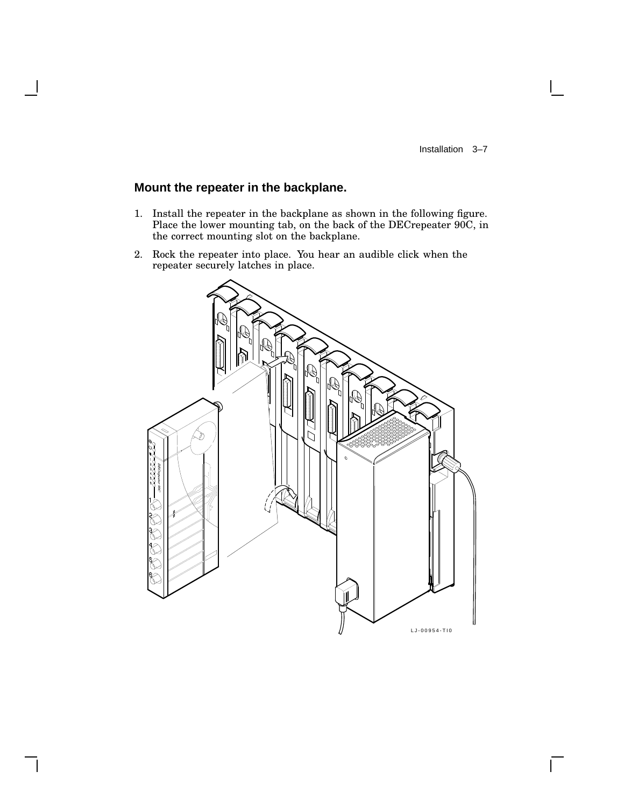$\mathbf{I}$ 

## **Mount the repeater in the backplane.**

- 1. Install the repeater in the backplane as shown in the following figure. Place the lower mounting tab, on the back of the DECrepeater 90C, in the correct mounting slot on the backplane.
- 2. Rock the repeater into place. You hear an audible click when the repeater securely latches in place.

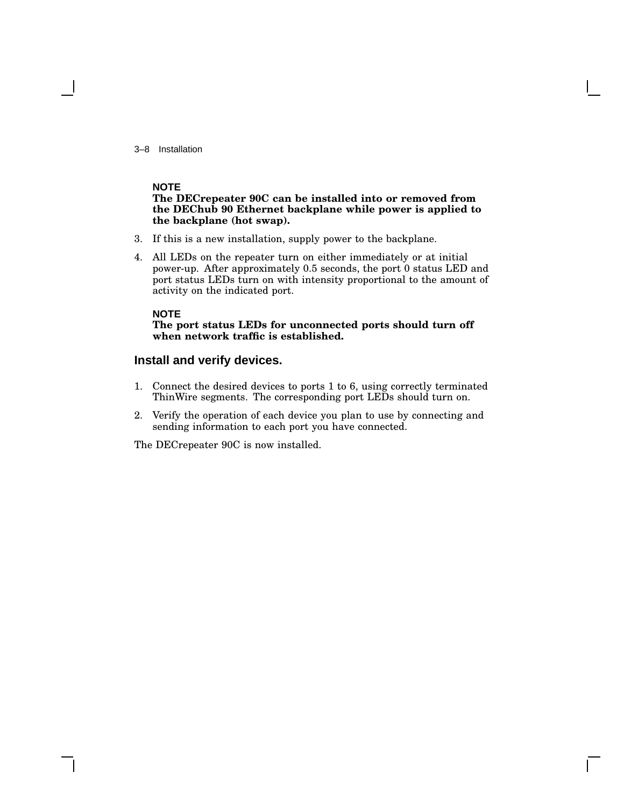3–8 Installation

#### **NOTE**

#### **The DECrepeater 90C can be installed into or removed from the DEChub 90 Ethernet backplane while power is applied to the backplane (hot swap).**

- 3. If this is a new installation, supply power to the backplane.
- 4. All LEDs on the repeater turn on either immediately or at initial power-up. After approximately 0.5 seconds, the port 0 status LED and port status LEDs turn on with intensity proportional to the amount of activity on the indicated port.

#### **NOTE**

#### **The port status LEDs for unconnected ports should turn off when network traffic is established.**

#### **Install and verify devices.**

- 1. Connect the desired devices to ports 1 to 6, using correctly terminated ThinWire segments. The corresponding port LEDs should turn on.
- 2. Verify the operation of each device you plan to use by connecting and sending information to each port you have connected.

The DECrepeater 90C is now installed.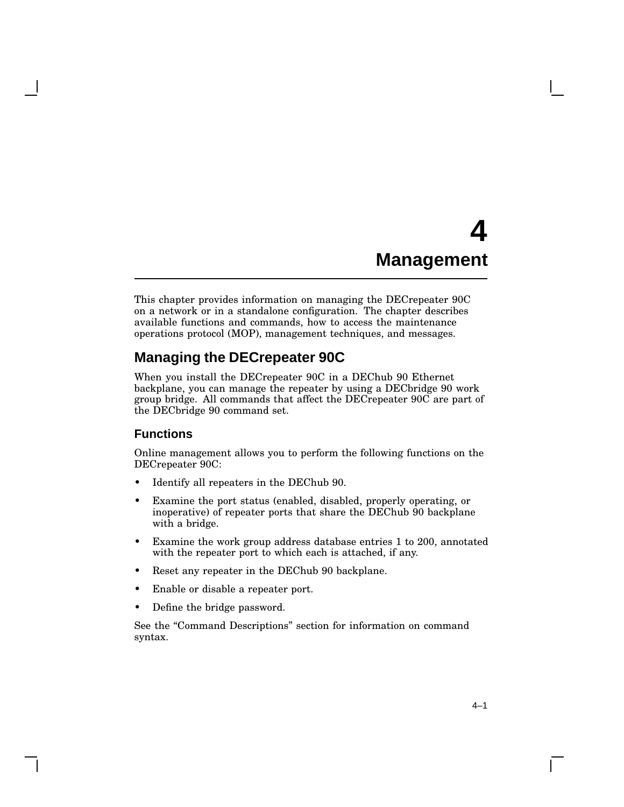# **4 Management**

This chapter provides information on managing the DECrepeater 90C on a network or in a standalone configuration. The chapter describes available functions and commands, how to access the maintenance operations protocol (MOP), management techniques, and messages.

## **Managing the DECrepeater 90C**

When you install the DECrepeater 90C in a DEChub 90 Ethernet backplane, you can manage the repeater by using a DECbridge 90 work group bridge. All commands that affect the DECrepeater 90C are part of the DECbridge 90 command set.

### **Functions**

Online management allows you to perform the following functions on the DECrepeater 90C:

- Identify all repeaters in the DEChub 90.
- Examine the port status (enabled, disabled, properly operating, or inoperative) of repeater ports that share the DEChub 90 backplane with a bridge.
- Examine the work group address database entries 1 to 200, annotated with the repeater port to which each is attached, if any.
- Reset any repeater in the DEChub 90 backplane.
- Enable or disable a repeater port.
- Define the bridge password.

See the "Command Descriptions" section for information on command syntax.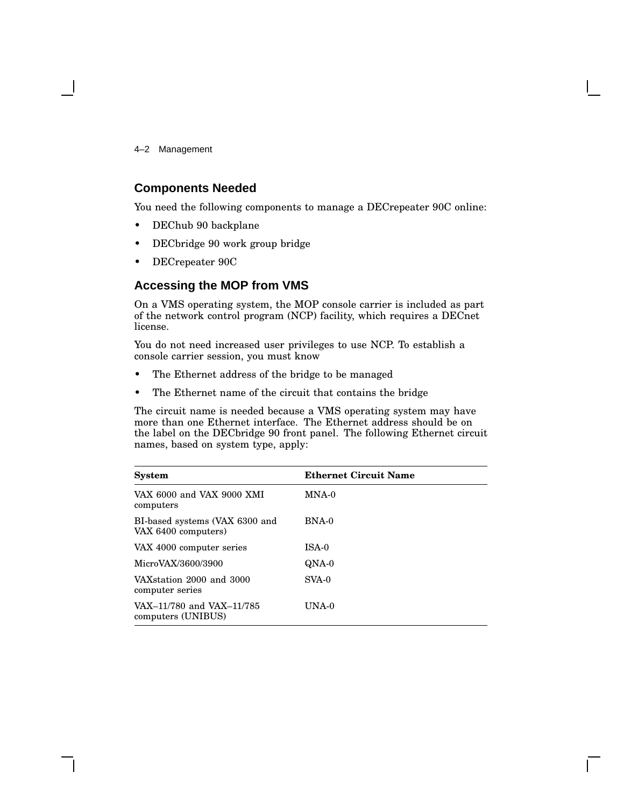4–2 Management

#### **Components Needed**

You need the following components to manage a DECrepeater 90C online:

- DEChub 90 backplane
- DECbridge 90 work group bridge
- DECrepeater 90C

### **Accessing the MOP from VMS**

On a VMS operating system, the MOP console carrier is included as part of the network control program (NCP) facility, which requires a DECnet license.

You do not need increased user privileges to use NCP. To establish a console carrier session, you must know

- The Ethernet address of the bridge to be managed
- The Ethernet name of the circuit that contains the bridge

The circuit name is needed because a VMS operating system may have more than one Ethernet interface. The Ethernet address should be on the label on the DECbridge 90 front panel. The following Ethernet circuit names, based on system type, apply:

| <b>System</b>                                         | <b>Ethernet Circuit Name</b> |
|-------------------------------------------------------|------------------------------|
| VAX 6000 and VAX 9000 XMI<br>computers                | MNA-0                        |
| BI-based systems (VAX 6300 and<br>VAX 6400 computers) | BNA-0                        |
| VAX 4000 computer series                              | ISA-0                        |
| MicroVAX/3600/3900                                    | QNA-0                        |
| VAX station 2000 and 3000<br>computer series          | $SVA-0$                      |
| VAX-11/780 and VAX-11/785<br>computers (UNIBUS)       | UNA-0                        |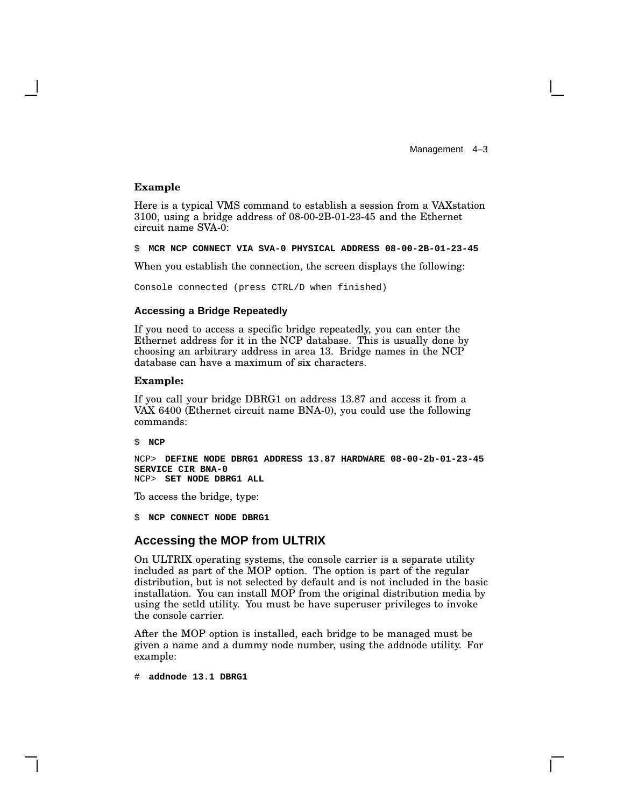Management 4-3

#### **Example**

Here is a typical VMS command to establish a session from a VAXstation 3100, using a bridge address of 08-00-2B-01-23-45 and the Ethernet circuit name SVA-0:

\$ **MCR NCP CONNECT VIA SVA-0 PHYSICAL ADDRESS 08-00-2B-01-23-45**

When you establish the connection, the screen displays the following:

Console connected (press CTRL/D when finished)

#### **Accessing a Bridge Repeatedly**

If you need to access a specific bridge repeatedly, you can enter the Ethernet address for it in the NCP database. This is usually done by choosing an arbitrary address in area 13. Bridge names in the NCP database can have a maximum of six characters.

#### **Example:**

If you call your bridge DBRG1 on address 13.87 and access it from a VAX 6400 (Ethernet circuit name BNA-0), you could use the following commands:

\$ **NCP**

NCP> **DEFINE NODE DBRG1 ADDRESS 13.87 HARDWARE 08-00-2b-01-23-45 SERVICE CIR BNA-0** NCP> **SET NODE DBRG1 ALL**

To access the bridge, type:

\$ **NCP CONNECT NODE DBRG1**

#### **Accessing the MOP from ULTRIX**

On ULTRIX operating systems, the console carrier is a separate utility included as part of the MOP option. The option is part of the regular distribution, but is not selected by default and is not included in the basic installation. You can install MOP from the original distribution media by using the setld utility. You must be have superuser privileges to invoke the console carrier.

After the MOP option is installed, each bridge to be managed must be given a name and a dummy node number, using the addnode utility. For example:

# **addnode 13.1 DBRG1**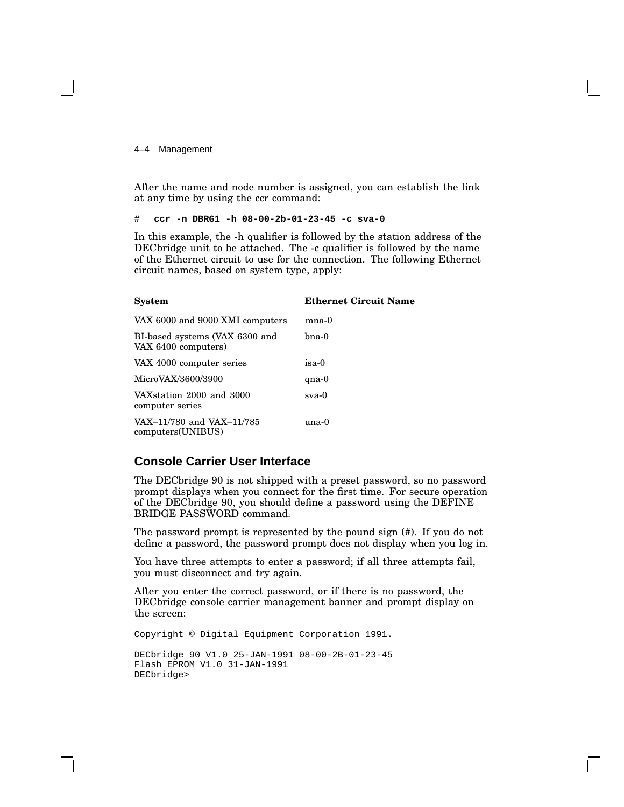4–4 Management

After the name and node number is assigned, you can establish the link at any time by using the ccr command:

# **ccr -n DBRG1 -h 08-00-2b-01-23-45 -c sva-0**

In this example, the -h qualifier is followed by the station address of the DECbridge unit to be attached. The -c qualifier is followed by the name of the Ethernet circuit to use for the connection. The following Ethernet circuit names, based on system type, apply:

| <b>System</b>                                         | <b>Ethernet Circuit Name</b> |
|-------------------------------------------------------|------------------------------|
| VAX 6000 and 9000 XMI computers                       | $mna-0$                      |
| BI-based systems (VAX 6300 and<br>VAX 6400 computers) | bna-0                        |
| VAX 4000 computer series                              | isa-0                        |
| MicroVAX/3600/3900                                    | $qna-0$                      |
| VAX station 2000 and 3000<br>computer series          | $sva-0$                      |
| VAX-11/780 and VAX-11/785<br>computers(UNIBUS)        | una-0                        |

### **Console Carrier User Interface**

The DECbridge 90 is not shipped with a preset password, so no password prompt displays when you connect for the first time. For secure operation of the DECbridge 90, you should define a password using the DEFINE BRIDGE PASSWORD command.

The password prompt is represented by the pound sign (#). If you do not define a password, the password prompt does not display when you log in.

You have three attempts to enter a password; if all three attempts fail, you must disconnect and try again.

After you enter the correct password, or if there is no password, the DECbridge console carrier management banner and prompt display on the screen:

Copyright © Digital Equipment Corporation 1991. DECbridge 90 V1.0 25-JAN-1991 08-00-2B-01-23-45 Flash EPROM V1.0 31-JAN-1991 DECbridge>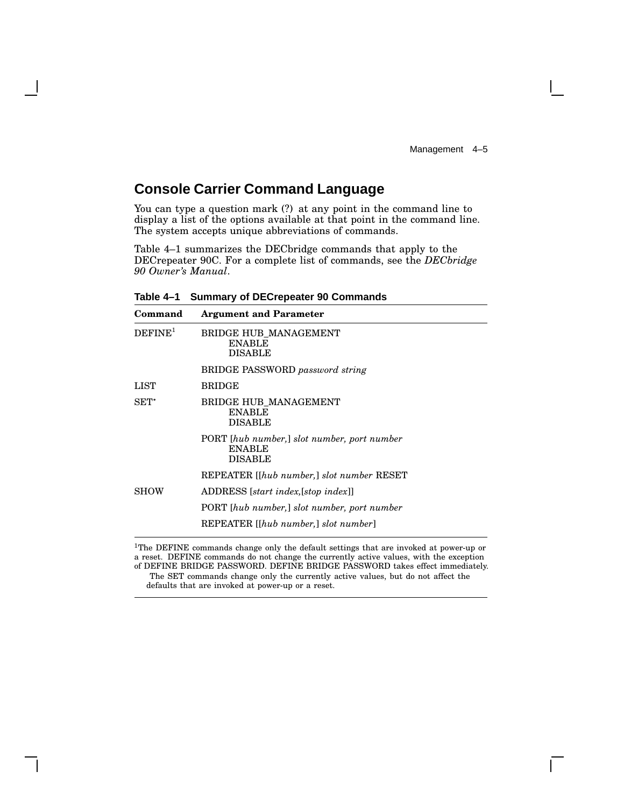## **Console Carrier Command Language**

You can type a question mark (?) at any point in the command line to display a list of the options available at that point in the command line. The system accepts unique abbreviations of commands.

Table 4–1 summarizes the DECbridge commands that apply to the DECrepeater 90C. For a complete list of commands, see the *DECbridge 90 Owner's Manual*.

| Command             | <b>Argument and Parameter</b>                                                  |
|---------------------|--------------------------------------------------------------------------------|
| DEFINE <sup>1</sup> | BRIDGE HUB MANAGEMENT<br><b>ENABLE</b><br><b>DISABLE</b>                       |
|                     | <b>BRIDGE PASSWORD</b> password string                                         |
| LIST                | <b>BRIDGE</b>                                                                  |
| $SET^*$             | <b>BRIDGE HUB_MANAGEMENT</b><br><b>ENABLE</b><br><b>DISABLE</b>                |
|                     | PORT [hub number,] slot number, port number<br><b>ENABLE</b><br><b>DISABLE</b> |
|                     | REPEATER [[hub number,] slot number RESET                                      |
| <b>SHOW</b>         | ADDRESS [start index, [stop index]]                                            |
|                     | PORT [hub number,] slot number, port number                                    |
|                     | REPEATER [[hub number,] slot number]                                           |

**Table 4–1 Summary of DECrepeater 90 Commands**

<sup>1</sup>The DEFINE commands change only the default settings that are invoked at power-up or a reset. DEFINE commands do not change the currently active values, with the exception of DEFINE BRIDGE PASSWORD. DEFINE BRIDGE PASSWORD takes effect immediately.

The SET commands change only the currently active values, but do not affect the defaults that are invoked at power-up or a reset.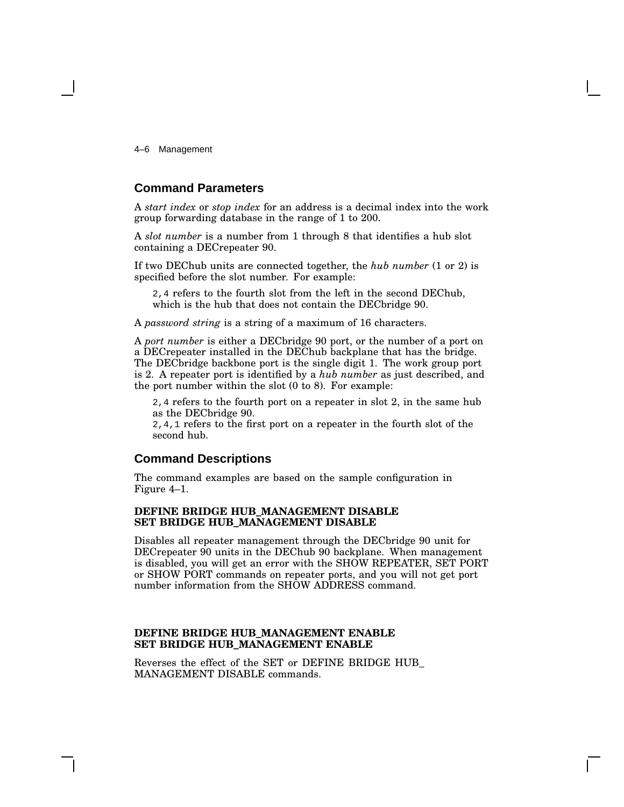4–6 Management

#### **Command Parameters**

A *start index* or *stop index* for an address is a decimal index into the work group forwarding database in the range of 1 to 200.

A *slot number* is a number from 1 through 8 that identifies a hub slot containing a DECrepeater 90.

If two DEChub units are connected together, the *hub number* (1 or 2) is specified before the slot number. For example:

2,4 refers to the fourth slot from the left in the second DEChub, which is the hub that does not contain the DECbridge 90.

A *password string* is a string of a maximum of 16 characters.

A *port number* is either a DECbridge 90 port, or the number of a port on a DECrepeater installed in the DEChub backplane that has the bridge. The DECbridge backbone port is the single digit 1. The work group port is 2. A repeater port is identified by a *hub number* as just described, and the port number within the slot (0 to 8). For example:

2,4 refers to the fourth port on a repeater in slot 2, in the same hub as the DECbridge 90.

2,4,1 refers to the first port on a repeater in the fourth slot of the second hub.

#### **Command Descriptions**

The command examples are based on the sample configuration in Figure 4–1.

#### **DEFINE BRIDGE HUB\_MANAGEMENT DISABLE SET BRIDGE HUB\_MANAGEMENT DISABLE**

Disables all repeater management through the DECbridge 90 unit for DECrepeater 90 units in the DEChub 90 backplane. When management is disabled, you will get an error with the SHOW REPEATER, SET PORT or SHOW PORT commands on repeater ports, and you will not get port number information from the SHOW ADDRESS command.

#### **DEFINE BRIDGE HUB\_MANAGEMENT ENABLE SET BRIDGE HUB\_MANAGEMENT ENABLE**

Reverses the effect of the SET or DEFINE BRIDGE HUB\_ MANAGEMENT DISABLE commands.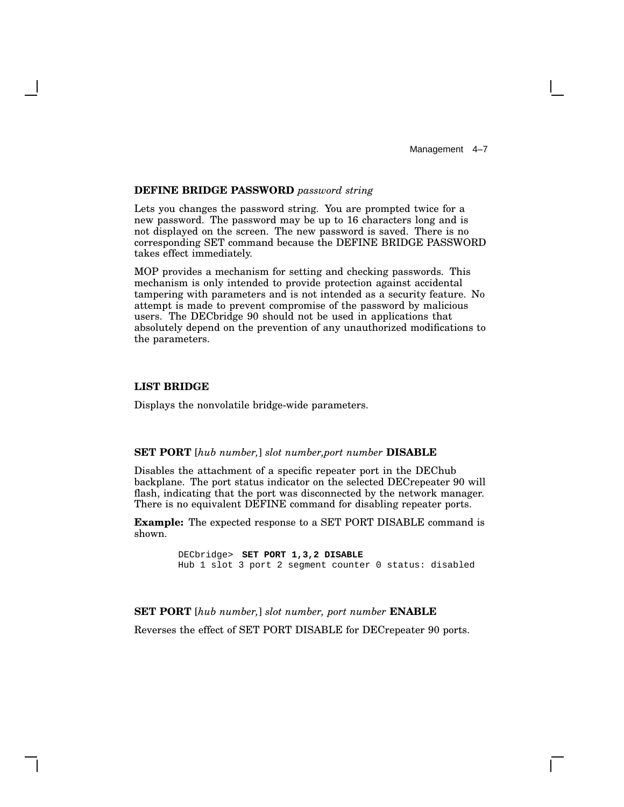#### **DEFINE BRIDGE PASSWORD** *password string*

Lets you changes the password string. You are prompted twice for a new password. The password may be up to 16 characters long and is not displayed on the screen. The new password is saved. There is no corresponding SET command because the DEFINE BRIDGE PASSWORD takes effect immediately.

MOP provides a mechanism for setting and checking passwords. This mechanism is only intended to provide protection against accidental tampering with parameters and is not intended as a security feature. No attempt is made to prevent compromise of the password by malicious users. The DECbridge 90 should not be used in applications that absolutely depend on the prevention of any unauthorized modifications to the parameters.

#### **LIST BRIDGE**

Displays the nonvolatile bridge-wide parameters.

#### **SET PORT** [*hub number,*] *slot number,port number* **DISABLE**

Disables the attachment of a specific repeater port in the DEChub backplane. The port status indicator on the selected DECrepeater 90 will flash, indicating that the port was disconnected by the network manager. There is no equivalent DEFINE command for disabling repeater ports.

**Example:** The expected response to a SET PORT DISABLE command is shown.

> DECbridge> **SET PORT 1,3,2 DISABLE** Hub 1 slot 3 port 2 segment counter 0 status: disabled

**SET PORT** [*hub number,*] *slot number, port number* **ENABLE** Reverses the effect of SET PORT DISABLE for DECrepeater 90 ports.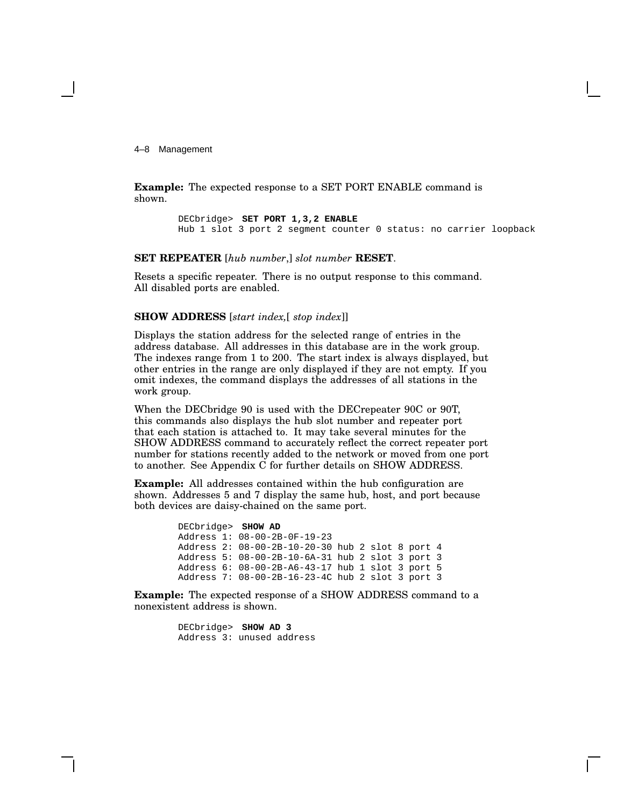4–8 Management

**Example:** The expected response to a SET PORT ENABLE command is shown.

> DECbridge> **SET PORT 1,3,2 ENABLE** Hub 1 slot 3 port 2 segment counter 0 status: no carrier loopback

**SET REPEATER** [*hub number*,] *slot number* **RESET**.

Resets a specific repeater. There is no output response to this command. All disabled ports are enabled.

#### **SHOW ADDRESS** [*start index,*[ *stop index*]]

Displays the station address for the selected range of entries in the address database. All addresses in this database are in the work group. The indexes range from 1 to 200. The start index is always displayed, but other entries in the range are only displayed if they are not empty. If you omit indexes, the command displays the addresses of all stations in the work group.

When the DECbridge 90 is used with the DECrepeater 90C or 90T, this commands also displays the hub slot number and repeater port that each station is attached to. It may take several minutes for the SHOW ADDRESS command to accurately reflect the correct repeater port number for stations recently added to the network or moved from one port to another. See Appendix C for further details on SHOW ADDRESS.

**Example:** All addresses contained within the hub configuration are shown. Addresses 5 and 7 display the same hub, host, and port because both devices are daisy-chained on the same port.

> DECbridge> **SHOW AD** Address 1: 08-00-2B-0F-19-23 Address 2: 08-00-2B-10-20-30 hub 2 slot 8 port 4 Address 5: 08-00-2B-10-6A-31 hub 2 slot 3 port 3 Address 6: 08-00-2B-A6-43-17 hub 1 slot 3 port 5 Address 7: 08-00-2B-16-23-4C hub 2 slot 3 port 3

**Example:** The expected response of a SHOW ADDRESS command to a nonexistent address is shown.

> DECbridge> **SHOW AD 3** Address 3: unused address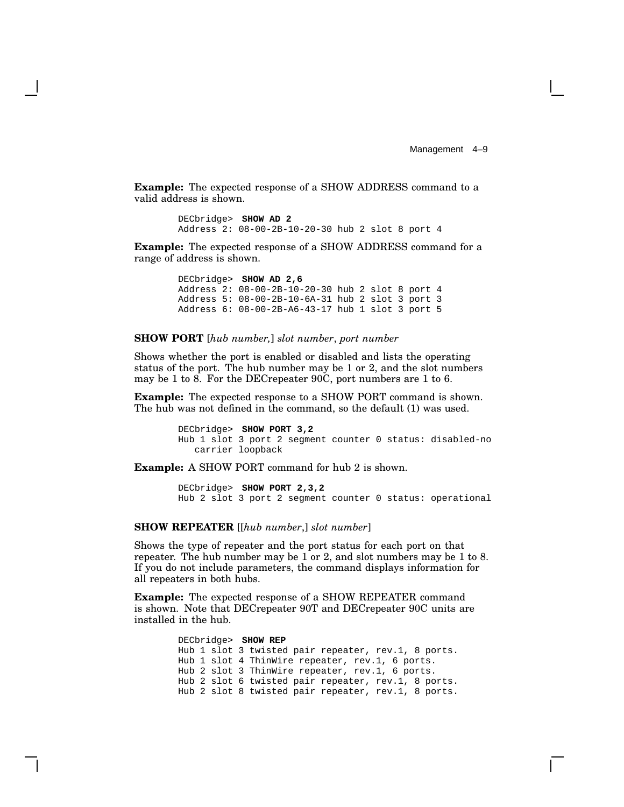Management 4-9

**Example:** The expected response of a SHOW ADDRESS command to a valid address is shown.

```
DECbridge> SHOW AD 2
Address 2: 08-00-2B-10-20-30 hub 2 slot 8 port 4
```
**Example:** The expected response of a SHOW ADDRESS command for a range of address is shown.

> DECbridge> **SHOW AD 2,6** Address 2: 08-00-2B-10-20-30 hub 2 slot 8 port 4 Address 5: 08-00-2B-10-6A-31 hub 2 slot 3 port 3 Address 6: 08-00-2B-A6-43-17 hub 1 slot 3 port 5

#### **SHOW PORT** [*hub number,*] *slot number*, *port number*

Shows whether the port is enabled or disabled and lists the operating status of the port. The hub number may be 1 or 2, and the slot numbers may be 1 to 8. For the DECrepeater 90C, port numbers are 1 to 6.

**Example:** The expected response to a SHOW PORT command is shown. The hub was not defined in the command, so the default (1) was used.

> DECbridge> **SHOW PORT 3,2** Hub 1 slot 3 port 2 segment counter 0 status: disabled-no carrier loopback

**Example:** A SHOW PORT command for hub 2 is shown.

DECbridge> **SHOW PORT 2,3,2** Hub 2 slot 3 port 2 segment counter 0 status: operational

#### **SHOW REPEATER** [[*hub number*,] *slot number*]

Shows the type of repeater and the port status for each port on that repeater. The hub number may be 1 or 2, and slot numbers may be 1 to 8. If you do not include parameters, the command displays information for all repeaters in both hubs.

**Example:** The expected response of a SHOW REPEATER command is shown. Note that DECrepeater 90T and DECrepeater 90C units are installed in the hub.

> DECbridge> **SHOW REP** Hub 1 slot 3 twisted pair repeater, rev.1, 8 ports. Hub 1 slot 4 ThinWire repeater, rev.1, 6 ports. Hub 2 slot 3 ThinWire repeater, rev.1, 6 ports. Hub 2 slot 6 twisted pair repeater, rev.1, 8 ports. Hub 2 slot 8 twisted pair repeater, rev.1, 8 ports.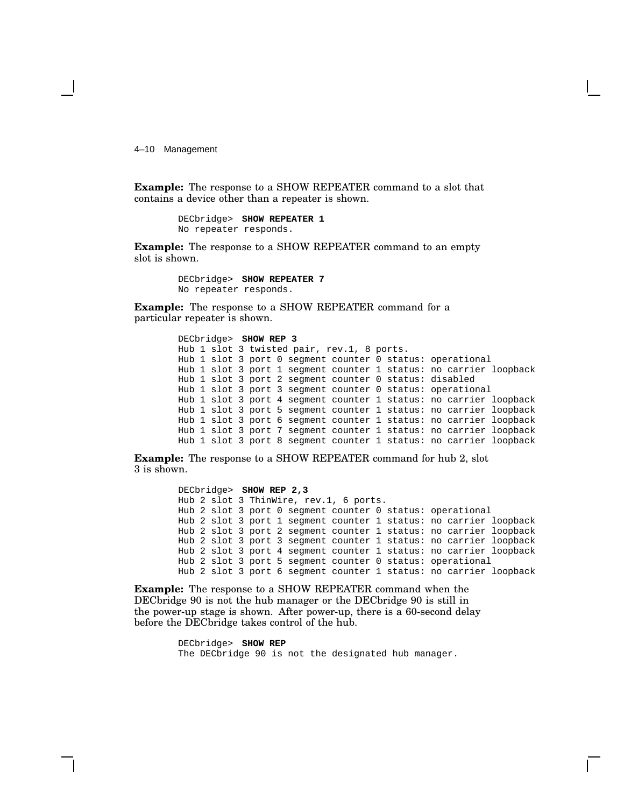4–10 Management

**Example:** The response to a SHOW REPEATER command to a slot that contains a device other than a repeater is shown.

> DECbridge> **SHOW REPEATER 1** No repeater responds.

**Example:** The response to a SHOW REPEATER command to an empty slot is shown.

> DECbridge> **SHOW REPEATER 7** No repeater responds.

**Example:** The response to a SHOW REPEATER command for a particular repeater is shown.

```
DECbridge> SHOW REP 3
Hub 1 slot 3 twisted pair, rev.1, 8 ports.
Hub 1 slot 3 port 0 segment counter 0 status: operational
Hub 1 slot 3 port 1 segment counter 1 status: no carrier loopback
Hub 1 slot 3 port 2 segment counter 0 status: disabled
Hub 1 slot 3 port 3 segment counter 0 status: operational
Hub 1 slot 3 port 4 segment counter 1 status: no carrier loopback
Hub 1 slot 3 port 5 segment counter 1 status: no carrier loopback
Hub 1 slot 3 port 6 segment counter 1 status: no carrier loopback
Hub 1 slot 3 port 7 segment counter 1 status: no carrier loopback
Hub 1 slot 3 port 8 segment counter 1 status: no carrier loopback
```
**Example:** The response to a SHOW REPEATER command for hub 2, slot 3 is shown.

> DECbridge> **SHOW REP 2,3** Hub 2 slot 3 ThinWire, rev.1, 6 ports. Hub 2 slot 3 port 0 segment counter 0 status: operational Hub 2 slot 3 port 1 segment counter 1 status: no carrier loopback Hub 2 slot 3 port 2 segment counter 1 status: no carrier loopback Hub 2 slot 3 port 3 segment counter 1 status: no carrier loopback Hub 2 slot 3 port 4 segment counter 1 status: no carrier loopback Hub 2 slot 3 port 5 segment counter 0 status: operational Hub 2 slot 3 port 6 segment counter 1 status: no carrier loopback

**Example:** The response to a SHOW REPEATER command when the DECbridge 90 is not the hub manager or the DECbridge 90 is still in the power-up stage is shown. After power-up, there is a 60-second delay before the DECbridge takes control of the hub.

> DECbridge> **SHOW REP** The DECbridge 90 is not the designated hub manager.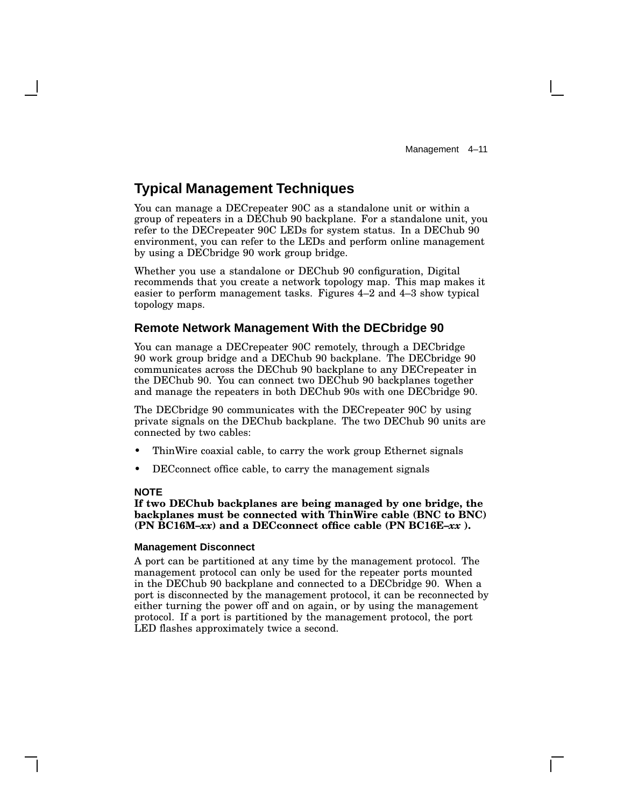### **Typical Management Techniques**

You can manage a DECrepeater 90C as a standalone unit or within a group of repeaters in a DEChub 90 backplane. For a standalone unit, you refer to the DECrepeater 90C LEDs for system status. In a DEChub 90 environment, you can refer to the LEDs and perform online management by using a DECbridge 90 work group bridge.

Whether you use a standalone or DEChub 90 configuration, Digital recommends that you create a network topology map. This map makes it easier to perform management tasks. Figures 4–2 and 4–3 show typical topology maps.

#### **Remote Network Management With the DECbridge 90**

You can manage a DECrepeater 90C remotely, through a DECbridge 90 work group bridge and a DEChub 90 backplane. The DECbridge 90 communicates across the DEChub 90 backplane to any DECrepeater in the DEChub 90. You can connect two DEChub 90 backplanes together and manage the repeaters in both DEChub 90s with one DECbridge 90.

The DECbridge 90 communicates with the DECrepeater 90C by using private signals on the DEChub backplane. The two DEChub 90 units are connected by two cables:

- ThinWire coaxial cable, to carry the work group Ethernet signals
- DECconnect office cable, to carry the management signals

#### **NOTE**

**If two DEChub backplanes are being managed by one bridge, the backplanes must be connected with ThinWire cable (BNC to BNC) (PN BC16M–***xx***) and a DECconnect office cable (PN BC16E–***xx* **).**

#### **Management Disconnect**

A port can be partitioned at any time by the management protocol. The management protocol can only be used for the repeater ports mounted in the DEChub 90 backplane and connected to a DECbridge 90. When a port is disconnected by the management protocol, it can be reconnected by either turning the power off and on again, or by using the management protocol. If a port is partitioned by the management protocol, the port LED flashes approximately twice a second.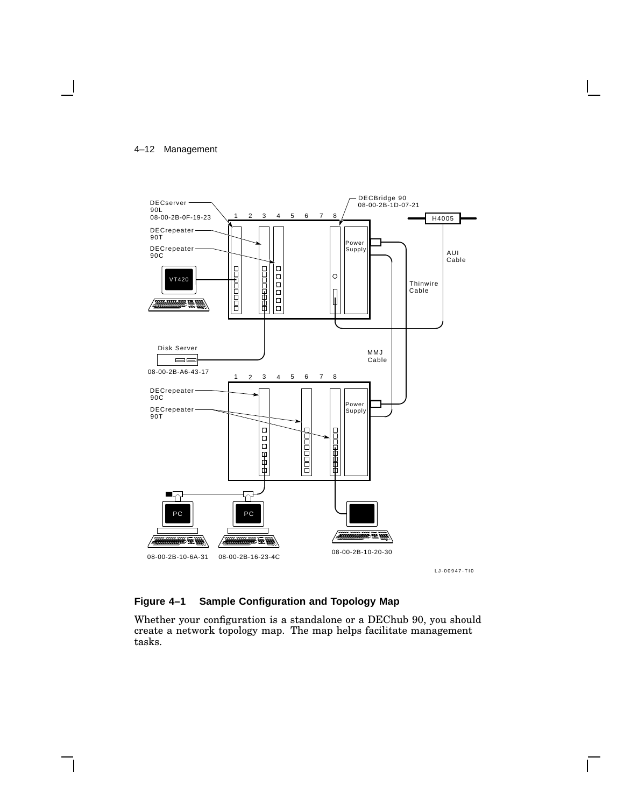#### 4–12 Management



LJ-00947-TI0

#### **Figure 4–1 Sample Configuration and Topology Map**

Whether your configuration is a standalone or a DEChub 90, you should create a network topology map. The map helps facilitate management tasks.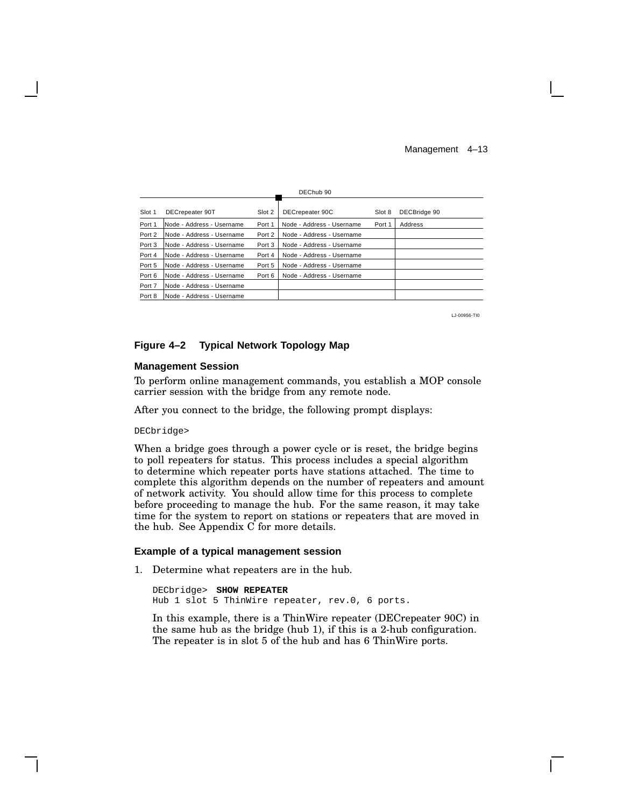Management 4–13

| DEChub <sub>90</sub> |                           |        |                           |        |              |
|----------------------|---------------------------|--------|---------------------------|--------|--------------|
| Slot 1               | DECrepeater 90T           | Slot 2 | DECrepeater 90C           | Slot 8 | DECBridge 90 |
| Port 1               | Node - Address - Username | Port 1 | Node - Address - Username | Port 1 | Address      |
| Port 2               | Node - Address - Username | Port 2 | Node - Address - Username |        |              |
| Port 3               | Node - Address - Username | Port 3 | Node - Address - Username |        |              |
| Port 4               | Node - Address - Username | Port 4 | Node - Address - Username |        |              |
| Port 5               | Node - Address - Username | Port 5 | Node - Address - Username |        |              |
| Port 6               | Node - Address - Username | Port 6 | Node - Address - Username |        |              |
| Port 7               | Node - Address - Username |        |                           |        |              |
| Port 8               | Node - Address - Username |        |                           |        |              |

LJ-00956-TI0

#### **Figure 4–2 Typical Network Topology Map**

#### **Management Session**

To perform online management commands, you establish a MOP console carrier session with the bridge from any remote node.

After you connect to the bridge, the following prompt displays:

DECbridge>

When a bridge goes through a power cycle or is reset, the bridge begins to poll repeaters for status. This process includes a special algorithm to determine which repeater ports have stations attached. The time to complete this algorithm depends on the number of repeaters and amount of network activity. You should allow time for this process to complete before proceeding to manage the hub. For the same reason, it may take time for the system to report on stations or repeaters that are moved in the hub. See Appendix C for more details.

#### **Example of a typical management session**

1. Determine what repeaters are in the hub.

DECbridge> **SHOW REPEATER** Hub 1 slot 5 ThinWire repeater, rev.0, 6 ports.

In this example, there is a ThinWire repeater (DECrepeater 90C) in the same hub as the bridge (hub 1), if this is a 2-hub configuration. The repeater is in slot 5 of the hub and has 6 ThinWire ports.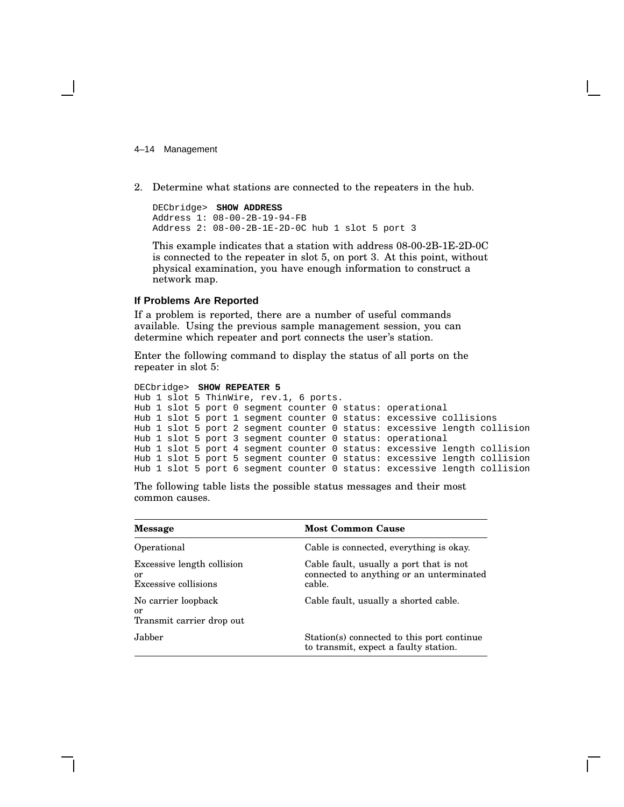4–14 Management

2. Determine what stations are connected to the repeaters in the hub.

DECbridge> **SHOW ADDRESS** Address 1: 08-00-2B-19-94-FB Address 2: 08-00-2B-1E-2D-0C hub 1 slot 5 port 3

This example indicates that a station with address 08-00-2B-1E-2D-0C is connected to the repeater in slot 5, on port 3. At this point, without physical examination, you have enough information to construct a network map.

#### **If Problems Are Reported**

If a problem is reported, there are a number of useful commands available. Using the previous sample management session, you can determine which repeater and port connects the user's station.

Enter the following command to display the status of all ports on the repeater in slot 5:

```
DECbridge> SHOW REPEATER 5
Hub 1 slot 5 ThinWire, rev.1, 6 ports.
Hub 1 slot 5 port 0 segment counter 0 status: operational
Hub 1 slot 5 port 1 segment counter 0 status: excessive collisions
Hub 1 slot 5 port 2 segment counter 0 status: excessive length collision
Hub 1 slot 5 port 3 segment counter 0 status: operational
Hub 1 slot 5 port 4 segment counter 0 status: excessive length collision
Hub 1 slot 5 port 5 segment counter 0 status: excessive length collision
Hub 1 slot 5 port 6 segment counter 0 status: excessive length collision
```
The following table lists the possible status messages and their most common causes.

| <b>Message</b>                                           | <b>Most Common Cause</b>                                                                      |
|----------------------------------------------------------|-----------------------------------------------------------------------------------------------|
| Operational                                              | Cable is connected, everything is okay.                                                       |
| Excessive length collision<br>or<br>Excessive collisions | Cable fault, usually a port that is not<br>connected to anything or an unterminated<br>cable. |
| No carrier loopback<br>or<br>Transmit carrier drop out   | Cable fault, usually a shorted cable.                                                         |
| Jabber                                                   | Station(s) connected to this port continue<br>to transmit, expect a faulty station.           |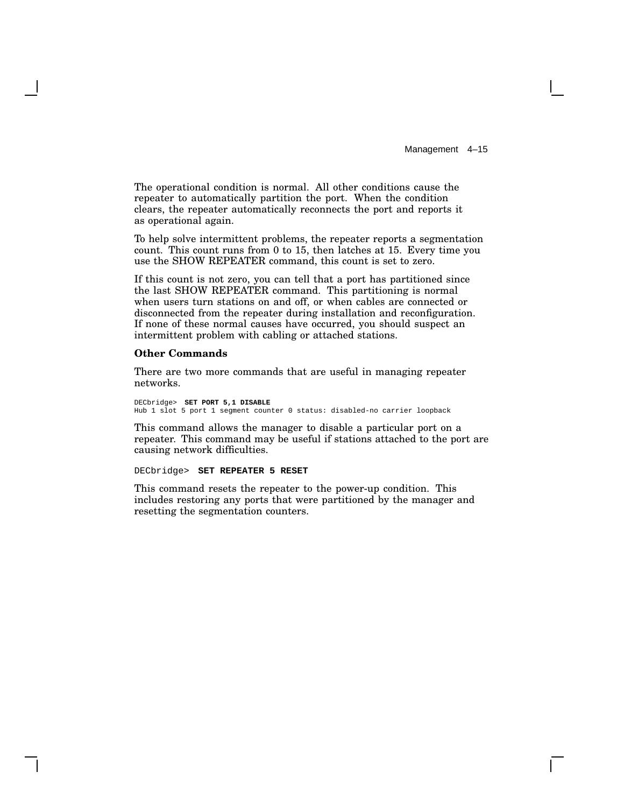The operational condition is normal. All other conditions cause the repeater to automatically partition the port. When the condition clears, the repeater automatically reconnects the port and reports it as operational again.

To help solve intermittent problems, the repeater reports a segmentation count. This count runs from 0 to 15, then latches at 15. Every time you use the SHOW REPEATER command, this count is set to zero.

If this count is not zero, you can tell that a port has partitioned since the last SHOW REPEATER command. This partitioning is normal when users turn stations on and off, or when cables are connected or disconnected from the repeater during installation and reconfiguration. If none of these normal causes have occurred, you should suspect an intermittent problem with cabling or attached stations.

#### **Other Commands**

There are two more commands that are useful in managing repeater networks.

DECbridge> **SET PORT 5,1 DISABLE** Hub 1 slot 5 port 1 segment counter 0 status: disabled-no carrier loopback

This command allows the manager to disable a particular port on a repeater. This command may be useful if stations attached to the port are causing network difficulties.

DECbridge> **SET REPEATER 5 RESET**

This command resets the repeater to the power-up condition. This includes restoring any ports that were partitioned by the manager and resetting the segmentation counters.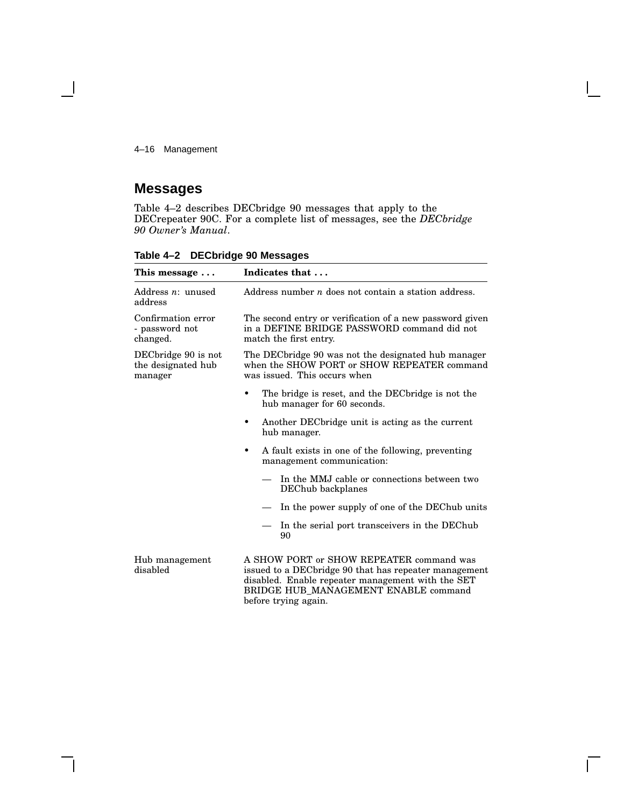4–16 Management

## **Messages**

Table 4–2 describes DECbridge 90 messages that apply to the DECrepeater 90C. For a complete list of messages, see the *DECbridge 90 Owner's Manual*.

**Table 4–2 DECbridge 90 Messages**

| This message                                         | Indicates that<br>Address number $n$ does not contain a station address.                                                                                                                                                |  |
|------------------------------------------------------|-------------------------------------------------------------------------------------------------------------------------------------------------------------------------------------------------------------------------|--|
| Address $n:$ unused<br>address                       |                                                                                                                                                                                                                         |  |
| Confirmation error<br>- password not<br>changed.     | The second entry or verification of a new password given<br>in a DEFINE BRIDGE PASSWORD command did not<br>match the first entry.                                                                                       |  |
| DECbridge 90 is not<br>the designated hub<br>manager | The DEC bridge 90 was not the designated hub manager<br>when the SHOW PORT or SHOW REPEATER command<br>was issued. This occurs when                                                                                     |  |
|                                                      | The bridge is reset, and the DEC bridge is not the<br>hub manager for 60 seconds.                                                                                                                                       |  |
|                                                      | Another DEC bridge unit is acting as the current<br>hub manager.                                                                                                                                                        |  |
|                                                      | A fault exists in one of the following, preventing<br>٠<br>management communication:                                                                                                                                    |  |
|                                                      | In the MMJ cable or connections between two<br>DEChub backplanes                                                                                                                                                        |  |
|                                                      | In the power supply of one of the DEChub units<br>$\overbrace{\phantom{13333}}$                                                                                                                                         |  |
|                                                      | In the serial port transceivers in the DEChub<br>90                                                                                                                                                                     |  |
| Hub management<br>disabled                           | A SHOW PORT or SHOW REPEATER command was<br>issued to a DEC bridge 90 that has repeater management<br>disabled. Enable repeater management with the SET<br>BRIDGE HUB_MANAGEMENT ENABLE command<br>before trying again. |  |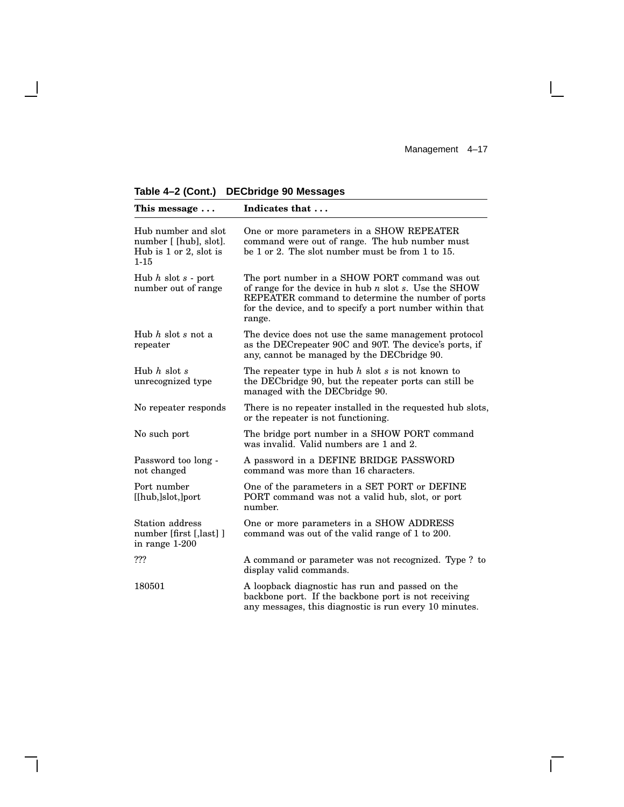Management 4-17

 $\Gamma$ 

**Table 4–2 (Cont.) DECbridge 90 Messages**

| This message                                                                        | Indicates that                                                                                                                                                                                                                          |  |
|-------------------------------------------------------------------------------------|-----------------------------------------------------------------------------------------------------------------------------------------------------------------------------------------------------------------------------------------|--|
| Hub number and slot<br>number [ [hub], slot].<br>Hub is 1 or 2, slot is<br>$1 - 15$ | One or more parameters in a SHOW REPEATER<br>command were out of range. The hub number must<br>be 1 or 2. The slot number must be from 1 to 15.                                                                                         |  |
| Hub $h$ slot $s$ - port<br>number out of range                                      | The port number in a SHOW PORT command was out<br>of range for the device in hub $n$ slot $s$ . Use the SHOW<br>REPEATER command to determine the number of ports<br>for the device, and to specify a port number within that<br>range. |  |
| Hub $h$ slot $s$ not a<br>repeater                                                  | The device does not use the same management protocol<br>as the DECrepeater 90C and 90T. The device's ports, if<br>any, cannot be managed by the DECbridge 90.                                                                           |  |
| Hub $h$ slot $s$<br>unrecognized type                                               | The repeater type in hub $h$ slot $s$ is not known to<br>the DEC bridge 90, but the repeater ports can still be<br>managed with the DECbridge 90.                                                                                       |  |
| No repeater responds                                                                | There is no repeater installed in the requested hub slots,<br>or the repeater is not functioning.                                                                                                                                       |  |
| No such port                                                                        | The bridge port number in a SHOW PORT command<br>was invalid. Valid numbers are 1 and 2.                                                                                                                                                |  |
| Password too long -<br>not changed                                                  | A password in a DEFINE BRIDGE PASSWORD<br>command was more than 16 characters.                                                                                                                                                          |  |
| Port number<br>[[hub,]slot,]port                                                    | One of the parameters in a SET PORT or DEFINE<br>PORT command was not a valid hub, slot, or port<br>number.                                                                                                                             |  |
| Station address<br>number [first [,last] ]<br>in range 1-200                        | One or more parameters in a SHOW ADDRESS<br>command was out of the valid range of 1 to 200.                                                                                                                                             |  |
| ???                                                                                 | A command or parameter was not recognized. Type? to<br>display valid commands.                                                                                                                                                          |  |
| 180501                                                                              | A loopback diagnostic has run and passed on the<br>backbone port. If the backbone port is not receiving<br>any messages, this diagnostic is run every 10 minutes.                                                                       |  |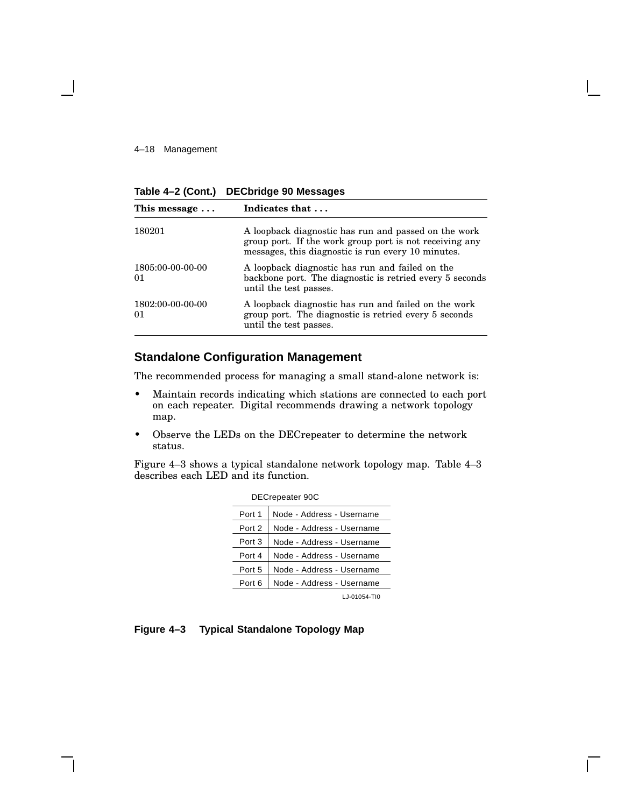#### 4–18 Management

**Table 4–2 (Cont.) DECbridge 90 Messages**

| This message           | Indicates that                                                                                                                                                        |  |
|------------------------|-----------------------------------------------------------------------------------------------------------------------------------------------------------------------|--|
| 180201                 | A loopback diagnostic has run and passed on the work<br>group port. If the work group port is not receiving any<br>messages, this diagnostic is run every 10 minutes. |  |
| 1805:00-00-00-00<br>01 | A loopback diagnostic has run and failed on the<br>backbone port. The diagnostic is retried every 5 seconds<br>until the test passes.                                 |  |
| 1802:00-00-00-00<br>01 | A loopback diagnostic has run and failed on the work<br>group port. The diagnostic is retried every 5 seconds<br>until the test passes.                               |  |

### **Standalone Configuration Management**

The recommended process for managing a small stand-alone network is:

- Maintain records indicating which stations are connected to each port on each repeater. Digital recommends drawing a network topology map.
- Observe the LEDs on the DECrepeater to determine the network status.

Figure 4–3 shows a typical standalone network topology map. Table 4–3 describes each LED and its function.

| DECrepeater 90C |                           |  |
|-----------------|---------------------------|--|
| Port 1          | Node - Address - Username |  |
| Port 2          | Node - Address - Username |  |
| Port 3          | Node - Address - Username |  |
| Port 4          | Node - Address - Username |  |
| Port 5          | Node - Address - Username |  |
| Port 6          | Node - Address - Username |  |
|                 | LJ-01054-TI0              |  |

**Figure 4–3 Typical Standalone Topology Map**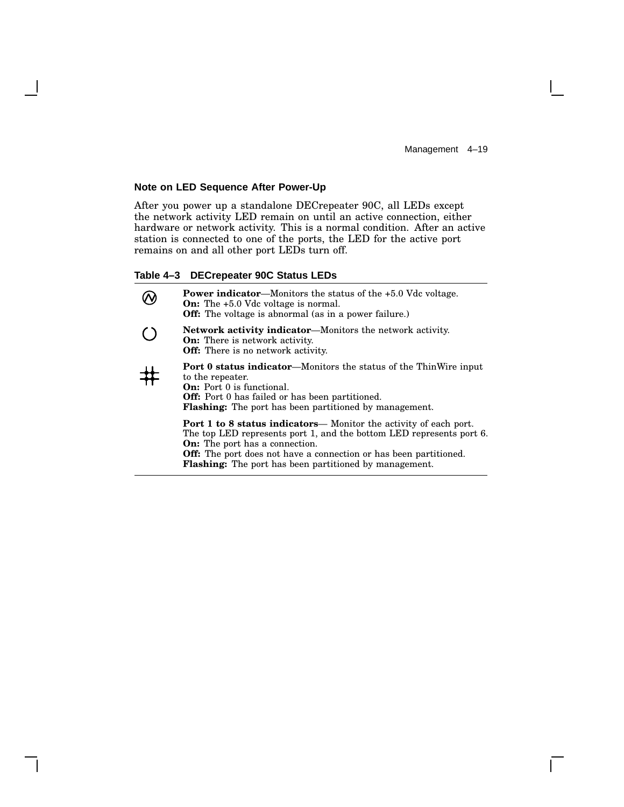$\mathbf{L}$ 

#### **Note on LED Sequence After Power-Up**

After you power up a standalone DECrepeater 90C, all LEDs except the network activity LED remain on until an active connection, either hardware or network activity. This is a normal condition. After an active station is connected to one of the ports, the LED for the active port remains on and all other port LEDs turn off.

#### **Table 4–3 DECrepeater 90C Status LEDs**

| <b>Power indicator—Monitors the status of the <math>+5.0</math> Vdc voltage.</b><br><b>On:</b> The $+5.0$ Vdc voltage is normal.<br><b>Off:</b> The voltage is abnormal (as in a power failure.)                                                                                                                                       |
|----------------------------------------------------------------------------------------------------------------------------------------------------------------------------------------------------------------------------------------------------------------------------------------------------------------------------------------|
| <b>Network activity indicator—Monitors the network activity.</b><br><b>On:</b> There is network activity.<br><b>Off:</b> There is no network activity.                                                                                                                                                                                 |
| <b>Port 0 status indicator—Monitors the status of the ThinWire input</b><br>to the repeater.<br><b>On:</b> Port 0 is functional.<br><b>Off:</b> Port 0 has failed or has been partitioned.<br><b>Flashing:</b> The port has been partitioned by management.                                                                            |
| <b>Port 1 to 8 status indicators—</b> Monitor the activity of each port.<br>The top LED represents port 1, and the bottom LED represents port 6.<br><b>On:</b> The port has a connection.<br><b>Off:</b> The port does not have a connection or has been partitioned.<br><b>Flashing:</b> The port has been partitioned by management. |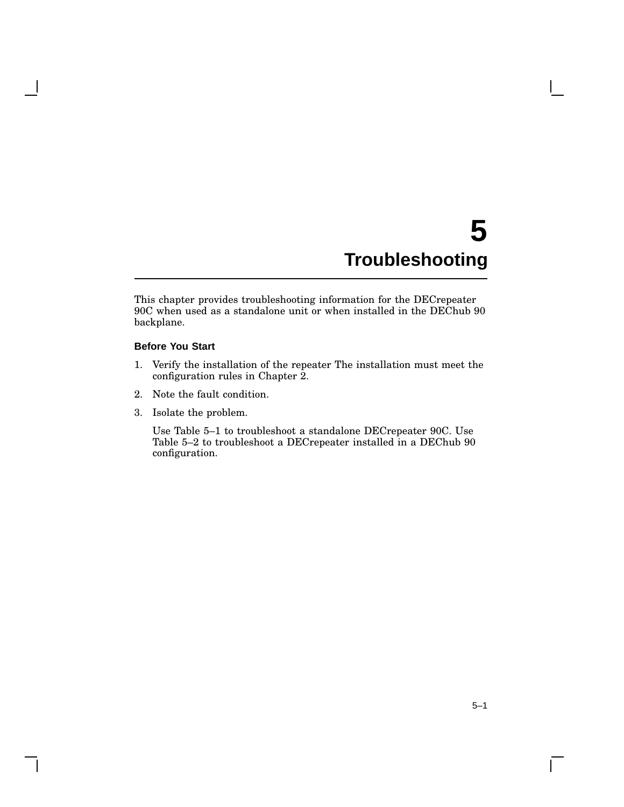# **5 Troubleshooting**

This chapter provides troubleshooting information for the DECrepeater 90C when used as a standalone unit or when installed in the DEChub 90 backplane.

#### **Before You Start**

- 1. Verify the installation of the repeater The installation must meet the configuration rules in Chapter 2.
- 2. Note the fault condition.
- 3. Isolate the problem.

Use Table 5–1 to troubleshoot a standalone DECrepeater 90C. Use Table 5–2 to troubleshoot a DECrepeater installed in a DEChub 90 configuration.

 $\mathsf{L}$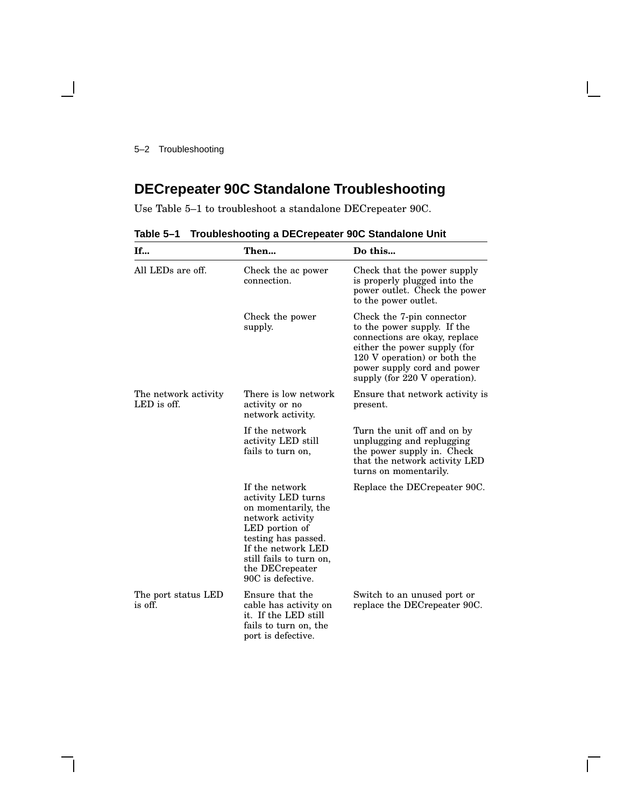## **DECrepeater 90C Standalone Troubleshooting**

Use Table 5–1 to troubleshoot a standalone DECrepeater 90C.

| If                                    | Then                                                                                                                                                                                                              | Do this                                                                                                                                                                                                                   |
|---------------------------------------|-------------------------------------------------------------------------------------------------------------------------------------------------------------------------------------------------------------------|---------------------------------------------------------------------------------------------------------------------------------------------------------------------------------------------------------------------------|
| All LEDs are off.                     | Check the ac power<br>connection.                                                                                                                                                                                 | Check that the power supply<br>is properly plugged into the<br>power outlet. Check the power<br>to the power outlet.                                                                                                      |
|                                       | Check the power<br>supply.                                                                                                                                                                                        | Check the 7-pin connector<br>to the power supply. If the<br>connections are okay, replace<br>either the power supply (for<br>120 V operation) or both the<br>power supply cord and power<br>supply (for 220 V operation). |
| The network activity<br>$LED$ is off. | There is low network<br>activity or no<br>network activity.                                                                                                                                                       | Ensure that network activity is<br>present.                                                                                                                                                                               |
|                                       | If the network<br>activity LED still<br>fails to turn on,                                                                                                                                                         | Turn the unit off and on by<br>unplugging and replugging<br>the power supply in. Check<br>that the network activity LED<br>turns on momentarily.                                                                          |
|                                       | If the network<br>activity LED turns<br>on momentarily, the<br>network activity<br>LED portion of<br>testing has passed.<br>If the network LED<br>still fails to turn on,<br>the DECrepeater<br>90C is defective. | Replace the DECrepeater 90C.                                                                                                                                                                                              |
| The port status LED<br>is off.        | Ensure that the<br>cable has activity on<br>it. If the LED still<br>fails to turn on, the<br>port is defective.                                                                                                   | Switch to an unused port or<br>replace the DECrepeater 90C.                                                                                                                                                               |

**Table 5–1 Troubleshooting a DECrepeater 90C Standalone Unit**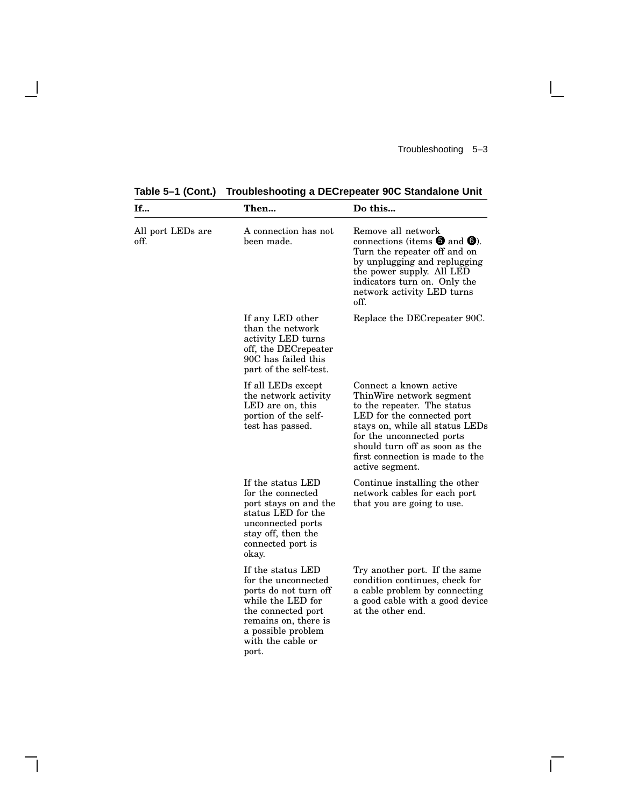$\overline{\Gamma}$ 

**Table 5–1 (Cont.) Troubleshooting a DECrepeater 90C Standalone Unit**

 $\mathbf \mathbf I$ 

H

| If                        | Then                                                                                                                                                                                     | Do this                                                                                                                                                                                                                                                                 |
|---------------------------|------------------------------------------------------------------------------------------------------------------------------------------------------------------------------------------|-------------------------------------------------------------------------------------------------------------------------------------------------------------------------------------------------------------------------------------------------------------------------|
| All port LEDs are<br>off. | A connection has not<br>been made.                                                                                                                                                       | Remove all network<br>connections (items $\boldsymbol{\Theta}$ and $\boldsymbol{\Theta}$ ).<br>Turn the repeater off and on<br>by unplugging and replugging<br>the power supply. All LED<br>indicators turn on. Only the<br>network activity LED turns<br>off.          |
|                           | If any LED other<br>than the network<br>activity LED turns<br>off, the DECrepeater<br>90C has failed this<br>part of the self-test.                                                      | Replace the DEC repeater 90C.                                                                                                                                                                                                                                           |
|                           | If all LEDs except<br>the network activity<br>LED are on, this<br>portion of the self-<br>test has passed.                                                                               | Connect a known active<br>ThinWire network segment<br>to the repeater. The status<br>LED for the connected port<br>stays on, while all status LEDs<br>for the unconnected ports<br>should turn off as soon as the<br>first connection is made to the<br>active segment. |
|                           | If the status LED<br>for the connected<br>port stays on and the<br>status LED for the<br>unconnected ports<br>stay off, then the<br>connected port is<br>okay.                           | Continue installing the other<br>network cables for each port<br>that you are going to use.                                                                                                                                                                             |
|                           | If the status LED<br>for the unconnected<br>ports do not turn off<br>while the LED for<br>the connected port<br>remains on, there is<br>a possible problem<br>with the cable or<br>port. | Try another port. If the same<br>condition continues, check for<br>a cable problem by connecting<br>a good cable with a good device<br>at the other end.                                                                                                                |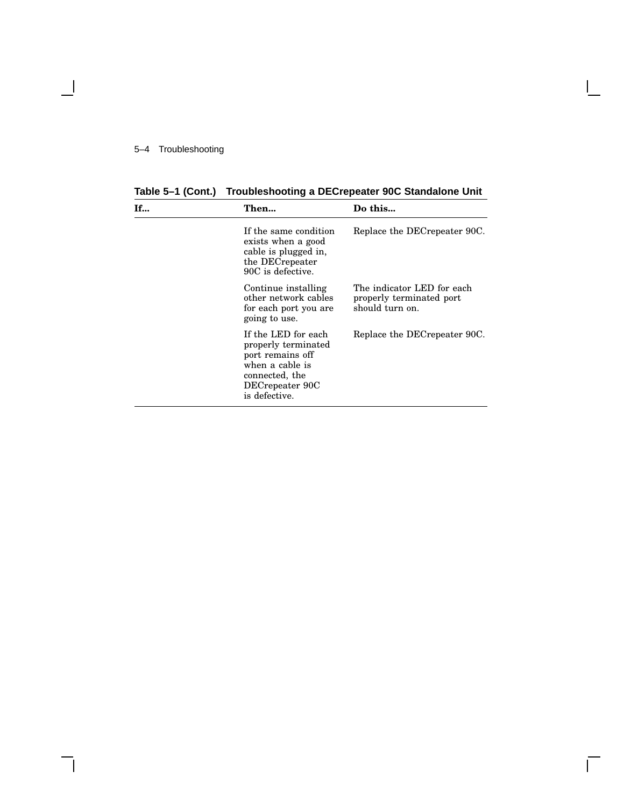$\blacksquare$ 

**Table 5–1 (Cont.) Troubleshooting a DECrepeater 90C Standalone Unit**

| <b>If</b> | Then                                                                                                                                    | Do this                                                                   |
|-----------|-----------------------------------------------------------------------------------------------------------------------------------------|---------------------------------------------------------------------------|
|           | If the same condition<br>exists when a good<br>cable is plugged in,<br>the DECrepeater<br>90C is defective.                             | Replace the DECrepeater 90C.                                              |
|           | Continue installing<br>other network cables<br>for each port you are<br>going to use.                                                   | The indicator LED for each<br>properly terminated port<br>should turn on. |
|           | If the LED for each<br>properly terminated<br>port remains off<br>when a cable is<br>connected, the<br>DECrepeater 90C<br>is defective. | Replace the DECrepeater 90C.                                              |

 $\bar{\Gamma}$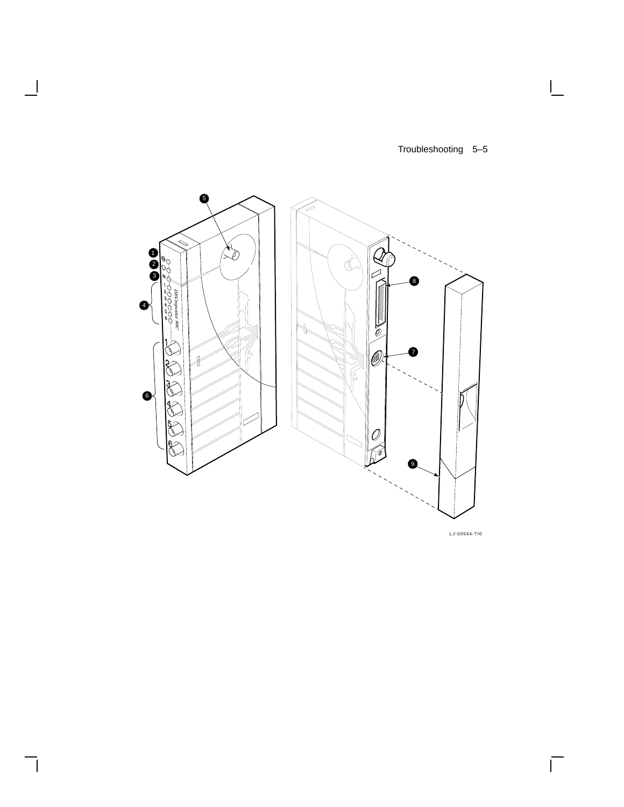$\Box$ 

 $\overline{\Gamma}$ 



 $\blacksquare$ 

┑

LJ-00544-TI0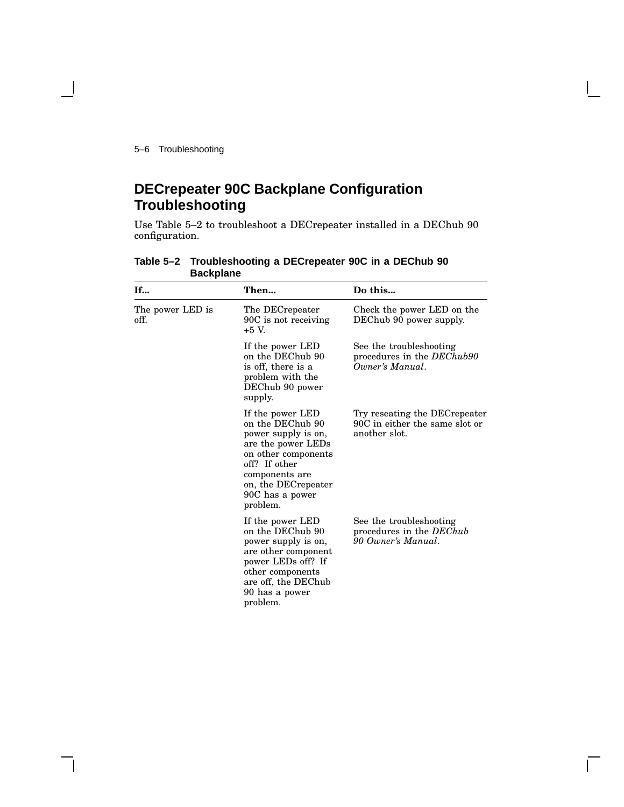5–6 Troubleshooting

## **DECrepeater 90C Backplane Configuration Troubleshooting**

Use Table 5–2 to troubleshoot a DECrepeater installed in a DEChub 90 configuration.

| If                       | Then                                                                                                                                                                                              | Do this                                                                           |
|--------------------------|---------------------------------------------------------------------------------------------------------------------------------------------------------------------------------------------------|-----------------------------------------------------------------------------------|
| The power LED is<br>off. | The DECrepeater<br>90C is not receiving<br>$+5$ V.                                                                                                                                                | Check the power LED on the<br>DEChub 90 power supply.                             |
|                          | If the power LED<br>on the DEChub 90<br>is off, there is a<br>problem with the<br>DEChub 90 power<br>supply.                                                                                      | See the troubleshooting<br>procedures in the DEChub90<br>Owner's Manual.          |
|                          | If the power LED<br>on the DEChub 90<br>power supply is on,<br>are the power LEDs<br>on other components<br>off? If other<br>components are<br>on, the DECrepeater<br>90C has a power<br>problem. | Try reseating the DEC repeater<br>90C in either the same slot or<br>another slot. |
|                          | If the power LED<br>on the DEChub 90<br>power supply is on,<br>are other component<br>power LEDs off? If<br>other components<br>are off, the DEChub<br>90 has a power<br>problem.                 | See the troubleshooting<br>procedures in the DEChub<br>90 Owner's Manual.         |

**Table 5–2 Troubleshooting a DECrepeater 90C in a DEChub 90 Backplane**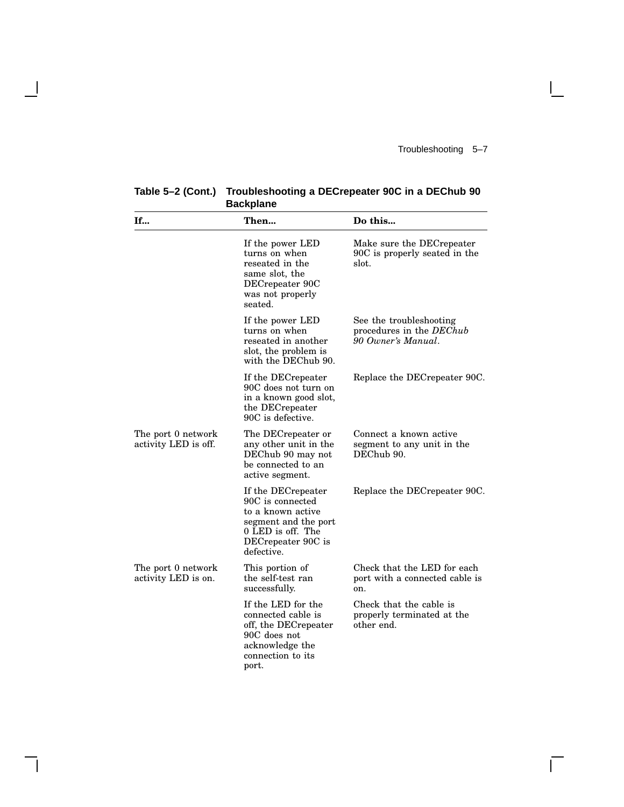$\mathbf{I}$ 

 $\overline{\Gamma}$ 

| <b>Backplane</b>                           |                                                                                                                                              |                                                                           |
|--------------------------------------------|----------------------------------------------------------------------------------------------------------------------------------------------|---------------------------------------------------------------------------|
| If                                         | Then                                                                                                                                         | Do this                                                                   |
|                                            | If the power LED<br>turns on when<br>reseated in the<br>same slot, the<br>DECrepeater 90C<br>was not properly<br>seated.                     | Make sure the DECrepeater<br>90C is properly seated in the<br>slot.       |
|                                            | If the power LED<br>turns on when<br>reseated in another<br>slot, the problem is<br>with the DEChub 90.                                      | See the troubleshooting<br>procedures in the DEChub<br>90 Owner's Manual. |
|                                            | If the DECrepeater<br>90C does not turn on<br>in a known good slot,<br>the DECrepeater<br>90C is defective.                                  | Replace the DECrepeater 90C.                                              |
| The port 0 network<br>activity LED is off. | The DECrepeater or<br>any other unit in the<br>DEChub 90 may not<br>be connected to an<br>active segment.                                    | Connect a known active<br>segment to any unit in the<br>DEChub 90.        |
|                                            | If the DECrepeater<br>90C is connected<br>to a known active<br>segment and the port<br>0 LED is off. The<br>DECrepeater 90C is<br>defective. | Replace the DECrepeater 90C.                                              |
| The port 0 network<br>activity LED is on.  | This portion of<br>the self-test ran<br>successfully.                                                                                        | Check that the LED for each<br>port with a connected cable is<br>on.      |
|                                            | If the LED for the<br>connected cable is<br>off, the DECrepeater<br>90C does not<br>acknowledge the<br>connection to its<br>port.            | Check that the cable is<br>properly terminated at the<br>other end.       |

### **Table 5–2 (Cont.) Troubleshooting a DECrepeater 90C in a DEChub 90 Backplane**

 $\mathbf{I}$ 

 $\mathsf{l}$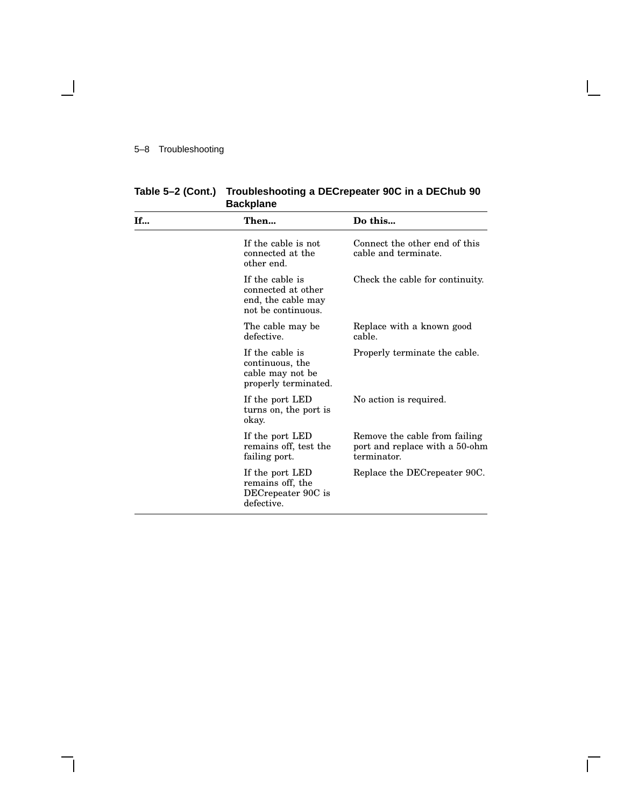#### 5–8 Troubleshooting

 $\overline{\phantom{0}}$ 

| <b>If</b> | Then                                                                              | Do this                                                                        |
|-----------|-----------------------------------------------------------------------------------|--------------------------------------------------------------------------------|
|           |                                                                                   |                                                                                |
|           | If the cable is not<br>connected at the<br>other end.                             | Connect the other end of this<br>cable and terminate.                          |
|           | If the cable is<br>connected at other<br>end, the cable may<br>not be continuous. | Check the cable for continuity.                                                |
|           | The cable may be<br>defective.                                                    | Replace with a known good<br>cable.                                            |
|           | If the cable is<br>continuous, the<br>cable may not be<br>properly terminated.    | Properly terminate the cable.                                                  |
|           | If the port LED<br>turns on, the port is<br>okay.                                 | No action is required.                                                         |
|           | If the port LED<br>remains off, test the<br>failing port.                         | Remove the cable from failing<br>port and replace with a 50-ohm<br>terminator. |
|           | If the port LED<br>remains off, the<br>DECrepeater 90C is<br>defective.           | Replace the DECrepeater 90C.                                                   |

**Table 5–2 (Cont.) Troubleshooting a DECrepeater 90C in a DEChub 90 Backplane**

 $\mathsf{I}$ 

 $\bar{\Gamma}$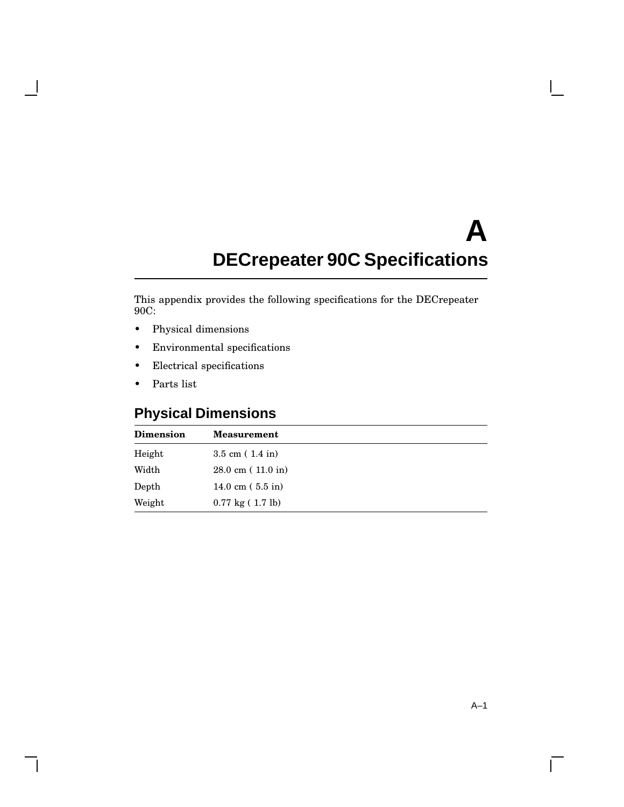# **A DECrepeater 90C Specifications**

This appendix provides the following specifications for the DECrepeater 90C:

- Physical dimensions
- Environmental specifications
- Electrical specifications
- Parts list

 $\mathbf l$ 

## **Physical Dimensions**

| <b>Dimension</b> | <b>Measurement</b>                 |
|------------------|------------------------------------|
| Height           | $3.5 \text{ cm} (1.4 \text{ in})$  |
| Width            | $28.0 \text{ cm}$ (11.0 in)        |
| Depth            | 14.0 cm $(5.5 \text{ in})$         |
| Weight           | $0.77 \text{ kg} (1.7 \text{ lb})$ |

 $\overline{\Gamma}$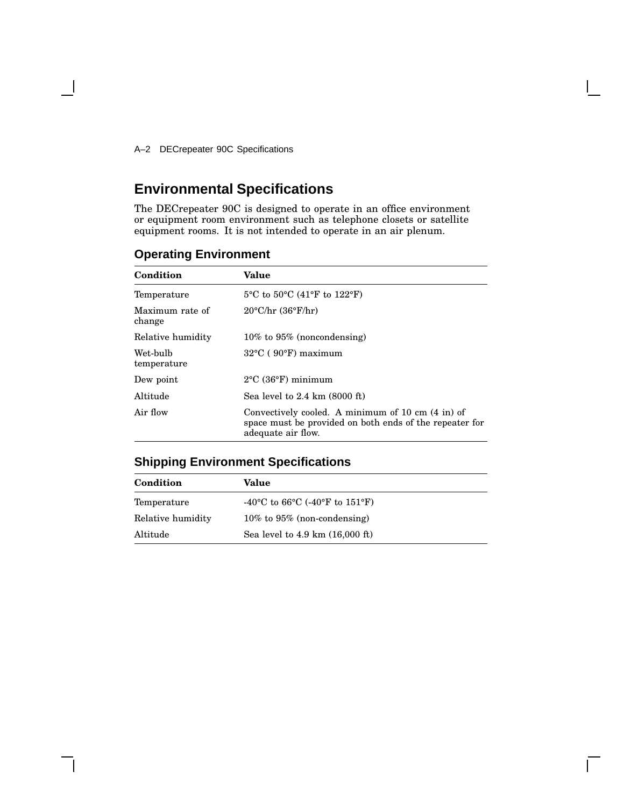A–2 DECrepeater 90C Specifications

 $\blacksquare$ 

## **Environmental Specifications**

The DECrepeater 90C is designed to operate in an office environment or equipment room environment such as telephone closets or satellite equipment rooms. It is not intended to operate in an air plenum.

|  |  | <b>Operating Environment</b> |
|--|--|------------------------------|
|  |  |                              |

| Condition                 | <b>Value</b>                                                                                                                       |
|---------------------------|------------------------------------------------------------------------------------------------------------------------------------|
| Temperature               | $5^{\circ}$ C to $50^{\circ}$ C (41°F to 122°F)                                                                                    |
| Maximum rate of<br>change | $20^{\circ}$ C/hr $(36^{\circ}F/hr)$                                                                                               |
| Relative humidity         | $10\%$ to $95\%$ (noncondensing)                                                                                                   |
| Wet-bulb<br>temperature   | $32^{\circ}$ C (90 $^{\circ}$ F) maximum                                                                                           |
| Dew point                 | $2^{\circ}$ C (36 $^{\circ}$ F) minimum                                                                                            |
| Altitude                  | Sea level to $2.4 \text{ km}$ (8000 ft)                                                                                            |
| Air flow                  | Convectively cooled. A minimum of 10 cm (4 in) of<br>space must be provided on both ends of the repeater for<br>adequate air flow. |

## **Shipping Environment Specifications**

| Condition         | Value                                               |
|-------------------|-----------------------------------------------------|
| Temperature       | -40 °C to 66 °C (-40 °F to 151 °F)                  |
| Relative humidity | $10\%$ to $95\%$ (non-condensing)                   |
| Altitude          | Sea level to $4.9 \text{ km}$ $(16,000 \text{ ft})$ |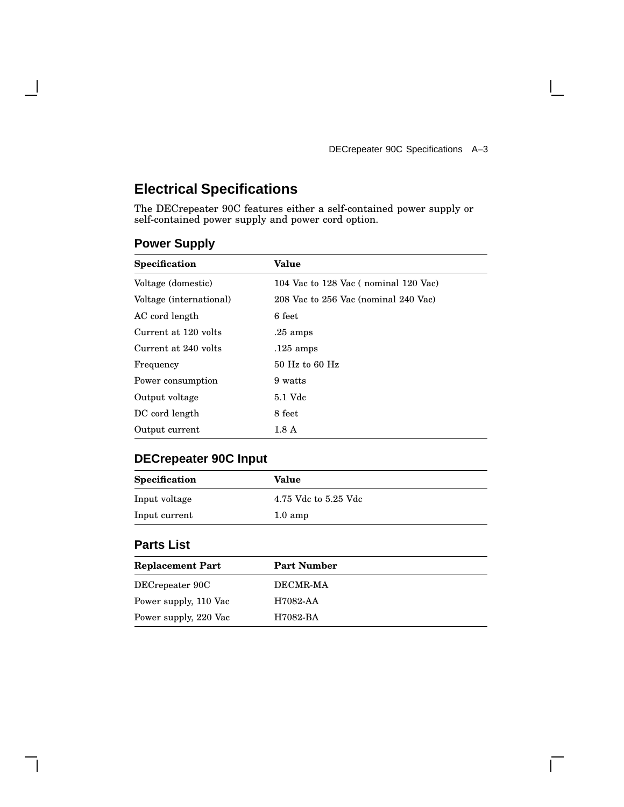$\overline{\Gamma}$ 

## **Electrical Specifications**

The DECrepeater 90C features either a self-contained power supply or self-contained power supply and power cord option.

| <b>Specification</b>    | <b>Value</b>                         |
|-------------------------|--------------------------------------|
| Voltage (domestic)      | 104 Vac to 128 Vac (nominal 120 Vac) |
| Voltage (international) | 208 Vac to 256 Vac (nominal 240 Vac) |
| AC cord length          | 6 feet                               |
| Current at 120 volts    | $.25 \text{ amps}$                   |
| Current at 240 volts    | $.125$ amps                          |
| Frequency               | $50$ Hz to 60 Hz                     |
| Power consumption       | 9 watts                              |
| Output voltage          | 5.1 Vdc                              |
| DC cord length          | 8 feet                               |
| Output current          | $1.8\;{\rm A}$                       |

## **Power Supply**

 $\overline{\phantom{a}}$ 

## **DECrepeater 90C Input**

| <b>Specification</b> | Value                |
|----------------------|----------------------|
| Input voltage        | 4.75 Vdc to 5.25 Vdc |
| Input current        | $1.0 \text{ amp}$    |

## **Parts List**

| <b>Replacement Part</b> | <b>Part Number</b> |
|-------------------------|--------------------|
| DECrepeater 90C         | DECMR-MA           |
| Power supply, 110 Vac   | H7082-AA           |
| Power supply, 220 Vac   | H7082-BA           |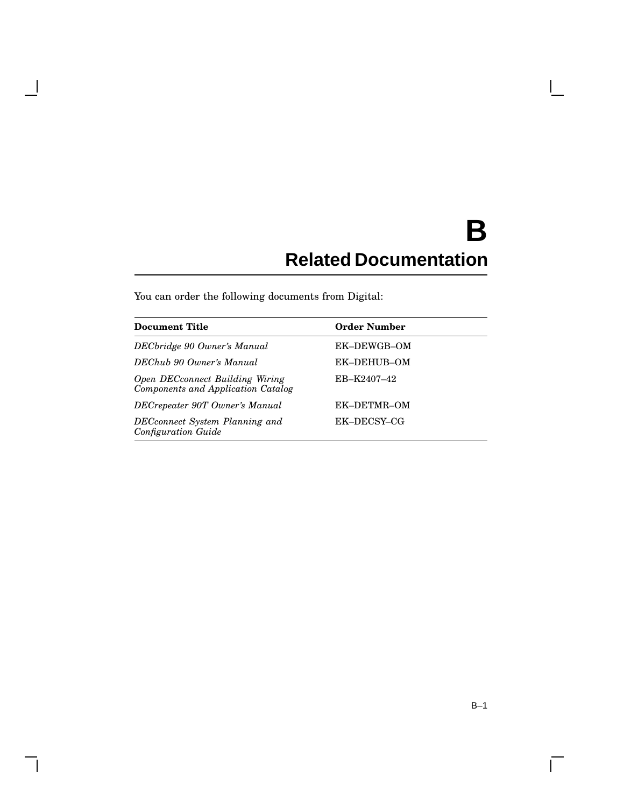# **B Related Documentation**

You can order the following documents from Digital:

 $\overline{\phantom{a}}$ 

| <b>Document Title</b>                                                 | <b>Order Number</b> |
|-----------------------------------------------------------------------|---------------------|
| DECbridge 90 Owner's Manual                                           | EK-DEWGB-OM         |
| DEChub 90 Owner's Manual                                              | EK-DEHUB-OM         |
| Open DECconnect Building Wiring<br>Components and Application Catalog | EB-K2407-42         |
| DECrepeater 90T Owner's Manual                                        | EK-DETMR-OM         |
| DECconnect System Planning and<br><b>Configuration Guide</b>          | EK-DECSY-CG         |

 $\overline{\Gamma}$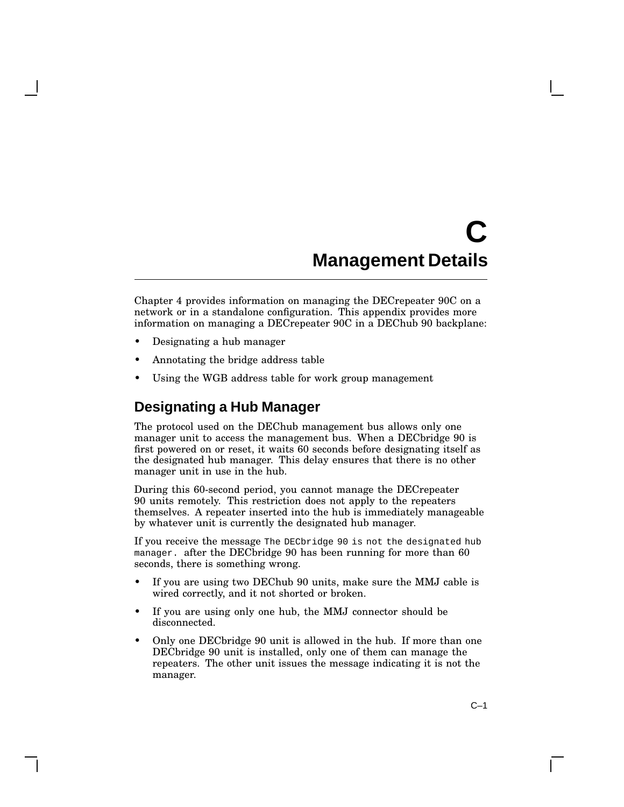# **C Management Details**

Chapter 4 provides information on managing the DECrepeater 90C on a network or in a standalone configuration. This appendix provides more information on managing a DECrepeater 90C in a DEChub 90 backplane:

- Designating a hub manager
- Annotating the bridge address table
- Using the WGB address table for work group management

## **Designating a Hub Manager**

The protocol used on the DEChub management bus allows only one manager unit to access the management bus. When a DEC bridge 90 is first powered on or reset, it waits 60 seconds before designating itself as the designated hub manager. This delay ensures that there is no other manager unit in use in the hub.

During this 60-second period, you cannot manage the DECrepeater 90 units remotely. This restriction does not apply to the repeaters themselves. A repeater inserted into the hub is immediately manageable by whatever unit is currently the designated hub manager.

If you receive the message The DECbridge 90 is not the designated hub manager. after the DECbridge 90 has been running for more than 60 seconds, there is something wrong.

- If you are using two DEChub 90 units, make sure the MMJ cable is wired correctly, and it not shorted or broken.
- If you are using only one hub, the MMJ connector should be disconnected.
- Only one DECbridge 90 unit is allowed in the hub. If more than one DECbridge 90 unit is installed, only one of them can manage the repeaters. The other unit issues the message indicating it is not the manager.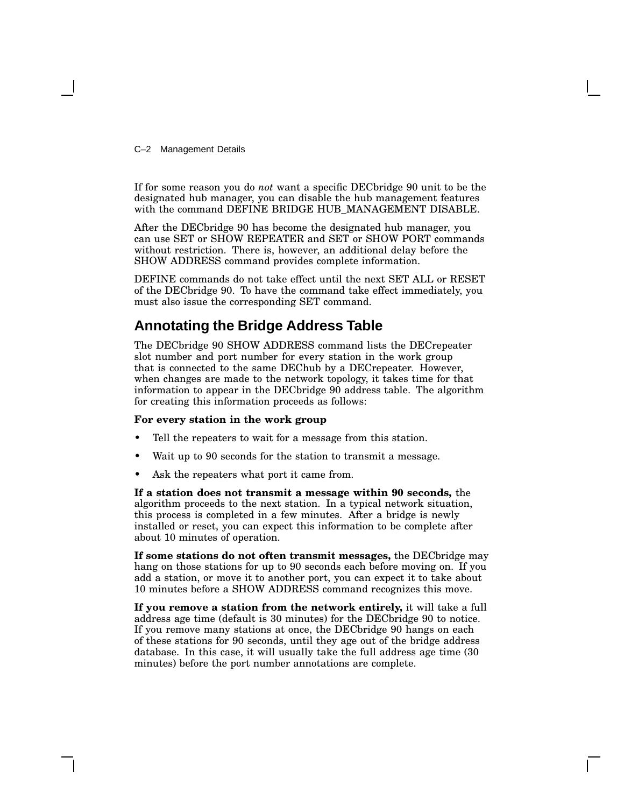C–2 Management Details

If for some reason you do *not* want a specific DECbridge 90 unit to be the designated hub manager, you can disable the hub management features with the command DEFINE BRIDGE HUB\_MANAGEMENT DISABLE.

After the DECbridge 90 has become the designated hub manager, you can use SET or SHOW REPEATER and SET or SHOW PORT commands without restriction. There is, however, an additional delay before the SHOW ADDRESS command provides complete information.

DEFINE commands do not take effect until the next SET ALL or RESET of the DECbridge 90. To have the command take effect immediately, you must also issue the corresponding SET command.

## **Annotating the Bridge Address Table**

The DECbridge 90 SHOW ADDRESS command lists the DECrepeater slot number and port number for every station in the work group that is connected to the same DEChub by a DECrepeater. However, when changes are made to the network topology, it takes time for that information to appear in the DECbridge 90 address table. The algorithm for creating this information proceeds as follows:

#### **For every station in the work group**

- Tell the repeaters to wait for a message from this station.
- Wait up to 90 seconds for the station to transmit a message.
- Ask the repeaters what port it came from.

**If a station does not transmit a message within 90 seconds,** the algorithm proceeds to the next station. In a typical network situation, this process is completed in a few minutes. After a bridge is newly installed or reset, you can expect this information to be complete after about 10 minutes of operation.

**If some stations do not often transmit messages,** the DECbridge may hang on those stations for up to 90 seconds each before moving on. If you add a station, or move it to another port, you can expect it to take about 10 minutes before a SHOW ADDRESS command recognizes this move.

**If you remove a station from the network entirely,** it will take a full address age time (default is 30 minutes) for the DECbridge 90 to notice. If you remove many stations at once, the DECbridge 90 hangs on each of these stations for 90 seconds, until they age out of the bridge address database. In this case, it will usually take the full address age time (30 minutes) before the port number annotations are complete.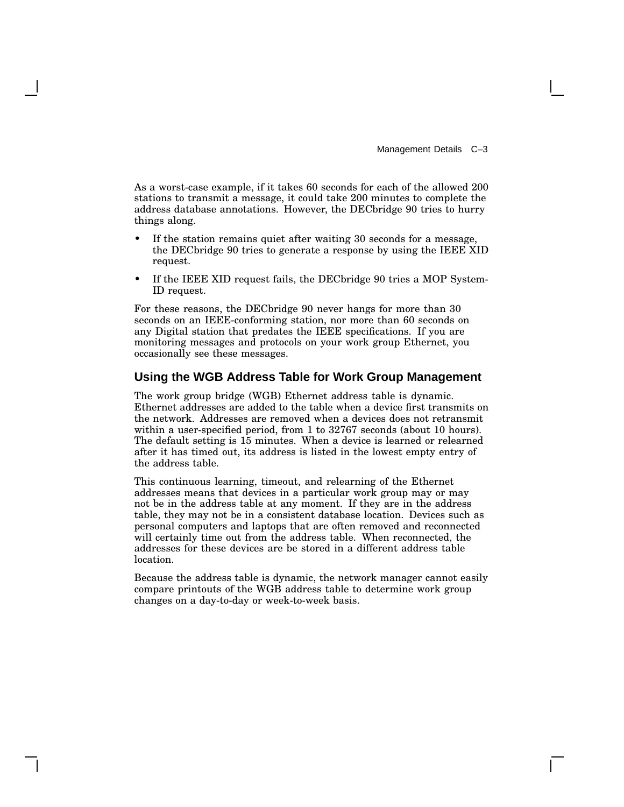As a worst-case example, if it takes 60 seconds for each of the allowed 200 stations to transmit a message, it could take 200 minutes to complete the address database annotations. However, the DECbridge 90 tries to hurry things along.

- If the station remains quiet after waiting 30 seconds for a message, the DECbridge 90 tries to generate a response by using the IEEE XID request.
- If the IEEE XID request fails, the DECbridge 90 tries a MOP System-ID request.

For these reasons, the DECbridge 90 never hangs for more than 30 seconds on an IEEE-conforming station, nor more than 60 seconds on any Digital station that predates the IEEE specifications. If you are monitoring messages and protocols on your work group Ethernet, you occasionally see these messages.

#### **Using the WGB Address Table for Work Group Management**

The work group bridge (WGB) Ethernet address table is dynamic. Ethernet addresses are added to the table when a device first transmits on the network. Addresses are removed when a devices does not retransmit within a user-specified period, from 1 to 32767 seconds (about 10 hours). The default setting is 15 minutes. When a device is learned or relearned after it has timed out, its address is listed in the lowest empty entry of the address table.

This continuous learning, timeout, and relearning of the Ethernet addresses means that devices in a particular work group may or may not be in the address table at any moment. If they are in the address table, they may not be in a consistent database location. Devices such as personal computers and laptops that are often removed and reconnected will certainly time out from the address table. When reconnected, the addresses for these devices are be stored in a different address table location.

Because the address table is dynamic, the network manager cannot easily compare printouts of the WGB address table to determine work group changes on a day-to-day or week-to-week basis.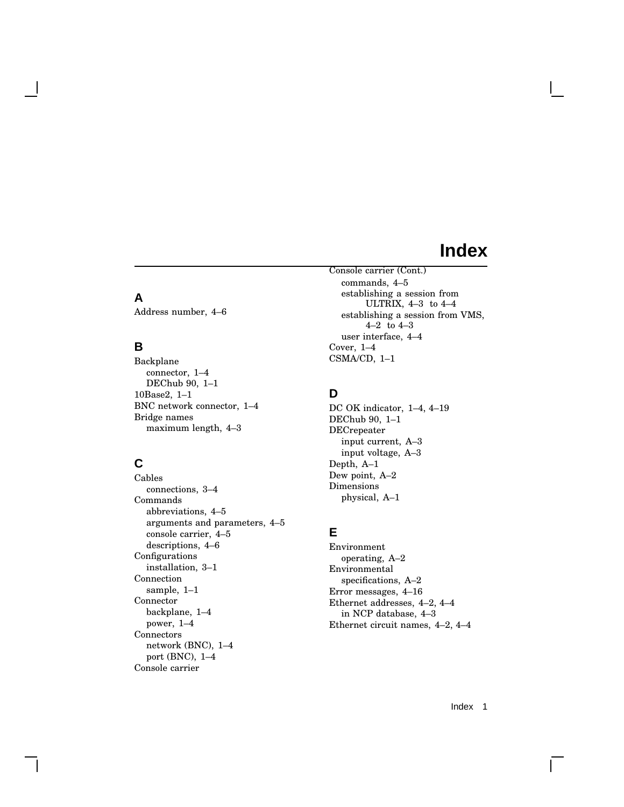## **Index**

### **A**

Address number, 4–6

### **B**

Backplane connector, 1–4 DEChub 90, 1–1 10Base2, 1–1 BNC network connector, 1–4 Bridge names maximum length, 4–3

## **C**

Cables connections, 3–4 Commands abbreviations, 4–5 arguments and parameters, 4–5 console carrier, 4–5 descriptions, 4–6 Configurations installation, 3–1 Connection sample, 1–1 Connector backplane, 1–4 power, 1–4 Connectors network (BNC), 1–4 port (BNC), 1–4 Console carrier

Console carrier (Cont.) commands, 4–5 establishing a session from ULTRIX, 4–3 to 4–4 establishing a session from VMS, 4–2 to 4–3 user interface, 4–4 Cover, 1–4 CSMA/CD, 1–1

## **D**

DC OK indicator, 1–4, 4–19 DEChub 90, 1–1 DECrepeater input current, A–3 input voltage, A–3 Depth, A–1 Dew point, A–2 Dimensions physical, A–1

### **E**

Environment operating, A–2 Environmental specifications, A–2 Error messages, 4–16 Ethernet addresses, 4–2, 4–4 in NCP database, 4–3 Ethernet circuit names, 4–2, 4–4

Index 1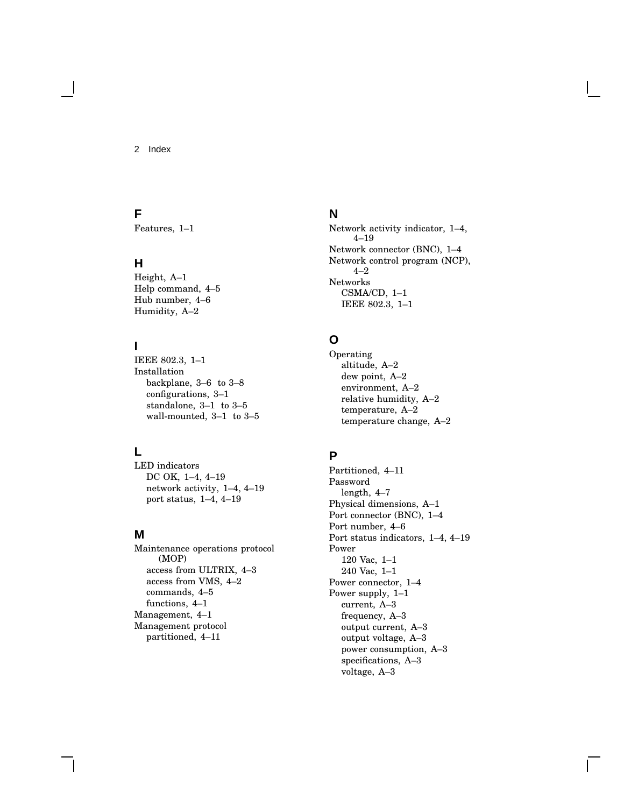2 Index

### **F**

Features, 1–1

### **H**

Height, A–1 Help command, 4–5 Hub number, 4–6 Humidity, A–2

## **I**

IEEE 802.3, 1–1 Installation backplane, 3–6 to 3–8 configurations, 3–1 standalone, 3–1 to 3–5 wall-mounted, 3–1 to 3–5

## **L**

LED indicators DC OK, 1–4, 4–19 network activity, 1–4, 4–19 port status, 1–4, 4–19

### **M**

Maintenance operations protocol (MOP) access from ULTRIX, 4–3 access from VMS, 4–2 commands, 4–5 functions, 4–1 Management, 4–1 Management protocol partitioned, 4–11

### **N**

Network activity indicator, 1–4, 4–19 Network connector (BNC), 1–4 Network control program (NCP), 4–2 Networks CSMA/CD, 1–1 IEEE 802.3, 1–1

## **O**

Operating altitude, A–2 dew point, A–2 environment, A–2 relative humidity, A–2 temperature, A–2 temperature change, A–2

## **P**

Partitioned, 4–11 Password length, 4–7 Physical dimensions, A–1 Port connector (BNC), 1–4 Port number, 4–6 Port status indicators, 1–4, 4–19 Power 120 Vac, 1–1 240 Vac, 1–1 Power connector, 1–4 Power supply, 1–1 current, A–3 frequency, A–3 output current, A–3 output voltage, A–3 power consumption, A–3 specifications, A–3 voltage, A–3